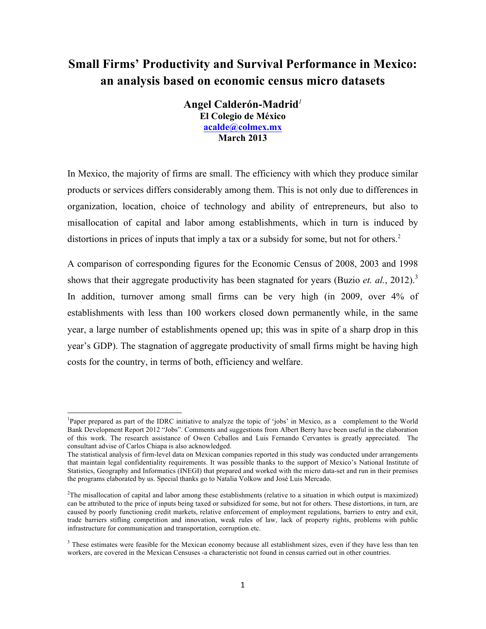# **Small Firms' Productivity and Survival Performance in Mexico: an analysis based on economic census micro datasets**

**Angel Calderón-Madrid***<sup>1</sup>* **El Colegio de México acalde@colmex.mx March 2013**

In Mexico, the majority of firms are small. The efficiency with which they produce similar products or services differs considerably among them. This is not only due to differences in organization, location, choice of technology and ability of entrepreneurs, but also to misallocation of capital and labor among establishments, which in turn is induced by distortions in prices of inputs that imply a tax or a subsidy for some, but not for others.<sup>2</sup>

A comparison of corresponding figures for the Economic Census of 2008, 2003 and 1998 shows that their aggregate productivity has been stagnated for years (Buzio *et. al.*, 2012). 3 In addition, turnover among small firms can be very high (in 2009, over 4% of establishments with less than 100 workers closed down permanently while, in the same year, a large number of establishments opened up; this was in spite of a sharp drop in this year's GDP). The stagnation of aggregate productivity of small firms might be having high costs for the country, in terms of both, efficiency and welfare.

<sup>&</sup>lt;sup>1</sup>Paper prepared as part of the IDRC initiative to analyze the topic of 'jobs' in Mexico, as a complement to the World Bank Development Report 2012 "Jobs". Comments and suggestions from Albert Berry have been useful in the elaboration of this work. The research assistance of Owen Ceballos and Luis Fernando Cervantes is greatly appreciated. The consultant advise of Carlos Chiapa is also acknowledged.

The statistical analysis of firm-level data on Mexican companies reported in this study was conducted under arrangements that maintain legal confidentiality requirements. It was possible thanks to the support of Mexico's National Institute of Statistics, Geography and Informatics (INEGI) that prepared and worked with the micro data-set and run in their premises the programs elaborated by us. Special thanks go to Natalia Volkow and José Luis Mercado.

 ${}^{2}$ The misallocation of capital and labor among these establishments (relative to a situation in which output is maximized) can be attributed to the price of inputs being taxed or subsidized for some, but not for others. These distortions, in turn, are caused by poorly functioning credit markets, relative enforcement of employment regulations, barriers to entry and exit, trade barriers stifling competition and innovation, weak rules of law, lack of property rights, problems with public infrastructure for communication and transportation, corruption etc.

<sup>&</sup>lt;sup>3</sup> These estimates were feasible for the Mexican economy because all establishment sizes, even if they have less than ten workers, are covered in the Mexican Censuses -a characteristic not found in census carried out in other countries.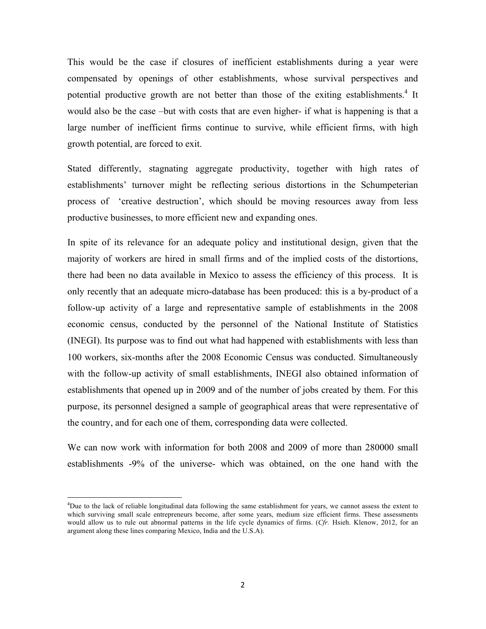This would be the case if closures of inefficient establishments during a year were compensated by openings of other establishments, whose survival perspectives and potential productive growth are not better than those of the exiting establishments.<sup>4</sup> It would also be the case –but with costs that are even higher- if what is happening is that a large number of inefficient firms continue to survive, while efficient firms, with high growth potential, are forced to exit.

Stated differently, stagnating aggregate productivity, together with high rates of establishments' turnover might be reflecting serious distortions in the Schumpeterian process of 'creative destruction', which should be moving resources away from less productive businesses, to more efficient new and expanding ones.

In spite of its relevance for an adequate policy and institutional design, given that the majority of workers are hired in small firms and of the implied costs of the distortions, there had been no data available in Mexico to assess the efficiency of this process. It is only recently that an adequate micro-database has been produced: this is a by-product of a follow-up activity of a large and representative sample of establishments in the 2008 economic census, conducted by the personnel of the National Institute of Statistics (INEGI). Its purpose was to find out what had happened with establishments with less than 100 workers, six-months after the 2008 Economic Census was conducted. Simultaneously with the follow-up activity of small establishments, INEGI also obtained information of establishments that opened up in 2009 and of the number of jobs created by them. For this purpose, its personnel designed a sample of geographical areas that were representative of the country, and for each one of them, corresponding data were collected.

We can now work with information for both 2008 and 2009 of more than 280000 small establishments -9% of the universe- which was obtained, on the one hand with the

<sup>&</sup>lt;sup>4</sup>Due to the lack of reliable longitudinal data following the same establishment for years, we cannot assess the extent to which surviving small scale entrepreneurs become, after some years, medium size efficient firms. These assessments would allow us to rule out abnormal patterns in the life cycle dynamics of firms. (*Cfr.* Hsieh. Klenow, 2012, for an argument along these lines comparing Mexico, India and the U.S.A).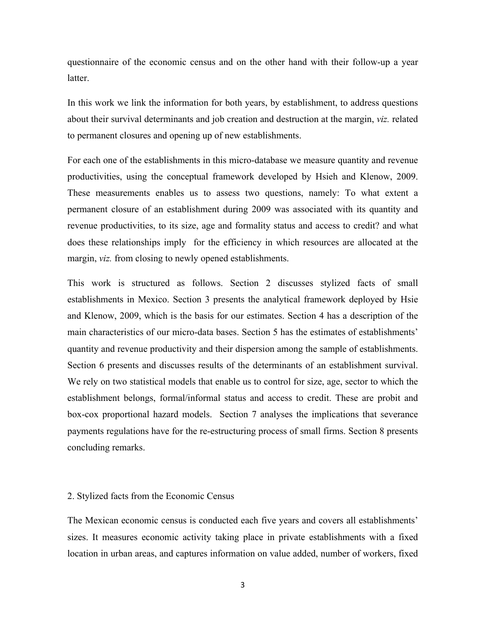questionnaire of the economic census and on the other hand with their follow-up a year latter.

In this work we link the information for both years, by establishment, to address questions about their survival determinants and job creation and destruction at the margin, *viz.* related to permanent closures and opening up of new establishments.

For each one of the establishments in this micro-database we measure quantity and revenue productivities, using the conceptual framework developed by Hsieh and Klenow, 2009. These measurements enables us to assess two questions, namely: To what extent a permanent closure of an establishment during 2009 was associated with its quantity and revenue productivities, to its size, age and formality status and access to credit? and what does these relationships imply for the efficiency in which resources are allocated at the margin, *viz.* from closing to newly opened establishments.

This work is structured as follows. Section 2 discusses stylized facts of small establishments in Mexico. Section 3 presents the analytical framework deployed by Hsie and Klenow, 2009, which is the basis for our estimates. Section 4 has a description of the main characteristics of our micro-data bases. Section 5 has the estimates of establishments' quantity and revenue productivity and their dispersion among the sample of establishments. Section 6 presents and discusses results of the determinants of an establishment survival. We rely on two statistical models that enable us to control for size, age, sector to which the establishment belongs, formal/informal status and access to credit. These are probit and box-cox proportional hazard models. Section 7 analyses the implications that severance payments regulations have for the re-estructuring process of small firms. Section 8 presents concluding remarks.

#### 2. Stylized facts from the Economic Census

The Mexican economic census is conducted each five years and covers all establishments' sizes. It measures economic activity taking place in private establishments with a fixed location in urban areas, and captures information on value added, number of workers, fixed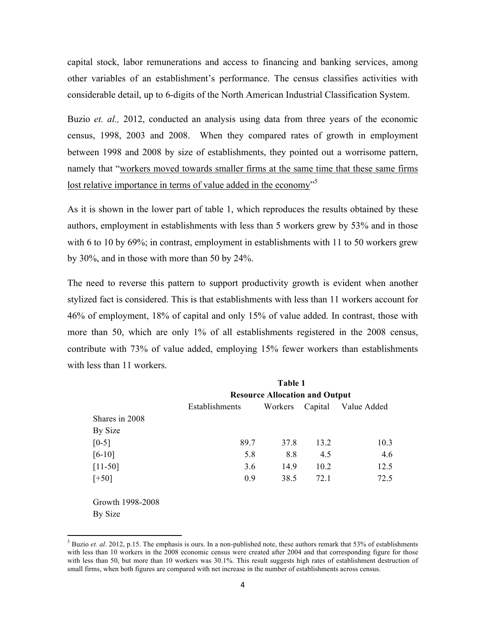capital stock, labor remunerations and access to financing and banking services, among other variables of an establishment's performance. The census classifies activities with considerable detail, up to 6-digits of the North American Industrial Classification System.

Buzio *et. al.,* 2012, conducted an analysis using data from three years of the economic census, 1998, 2003 and 2008. When they compared rates of growth in employment between 1998 and 2008 by size of establishments, they pointed out a worrisome pattern, namely that "workers moved towards smaller firms at the same time that these same firms lost relative importance in terms of value added in the economy"<sup>5</sup>

As it is shown in the lower part of table 1, which reproduces the results obtained by these authors, employment in establishments with less than 5 workers grew by 53% and in those with 6 to 10 by 69%; in contrast, employment in establishments with 11 to 50 workers grew by 30%, and in those with more than 50 by 24%.

The need to reverse this pattern to support productivity growth is evident when another stylized fact is considered. This is that establishments with less than 11 workers account for 46% of employment, 18% of capital and only 15% of value added. In contrast, those with more than 50, which are only 1% of all establishments registered in the 2008 census, contribute with 73% of value added, employing 15% fewer workers than establishments with less than 11 workers.

|                     | Table 1                               |         |         |             |  |  |
|---------------------|---------------------------------------|---------|---------|-------------|--|--|
|                     | <b>Resource Allocation and Output</b> |         |         |             |  |  |
|                     | Establishments                        | Workers | Capital | Value Added |  |  |
| Shares in 2008      |                                       |         |         |             |  |  |
| By Size             |                                       |         |         |             |  |  |
| $\lceil 0-5 \rceil$ | 89.7                                  | 37.8    | 13.2    | 10.3        |  |  |
| $[6-10]$            | 5.8                                   | 8.8     | 4.5     | 4.6         |  |  |
| $[11-50]$           | 3.6                                   | 14.9    | 10.2    | 12.5        |  |  |
| $[+50]$             | 0.9                                   | 38.5    | 72.1    | 72.5        |  |  |
| Growth 1998-2008    |                                       |         |         |             |  |  |
| By Size             |                                       |         |         |             |  |  |

<sup>&</sup>lt;sup>5</sup> Buzio *et. al.* 2012, p.15. The emphasis is ours. In a non-published note, these authors remark that 53% of establishments with less than 10 workers in the 2008 economic census were created after 2004 and that corresponding figure for those with less than 50, but more than 10 workers was 30.1%. This result suggests high rates of establishment destruction of small firms, when both figures are compared with net increase in the number of establishments across census.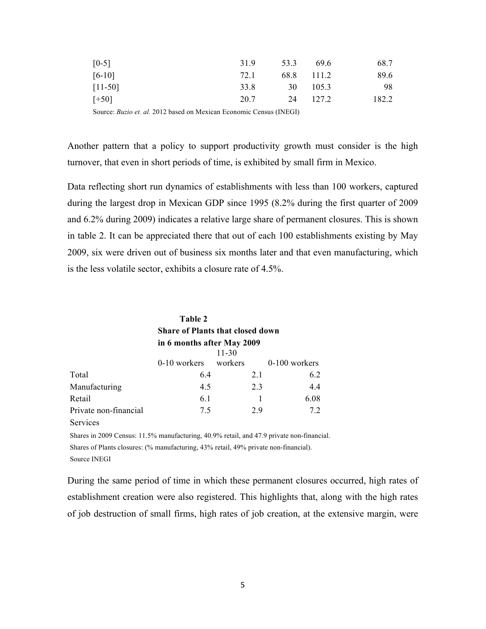| $\lceil 0-5 \rceil$ | 31.9 | 53.3 | 69.6  | 68.7  |
|---------------------|------|------|-------|-------|
| $[6-10]$            | 72.1 | 68.8 | 111.2 | 89.6  |
| $[11-50]$           | 33.8 | 30   | 105.3 | 98    |
| $[+50]$             | 20.7 | 24   | 127.2 | 182.2 |

Source: *Buzio et. al.* 2012 based on Mexican Economic Census (INEGI)

Another pattern that a policy to support productivity growth must consider is the high turnover, that even in short periods of time, is exhibited by small firm in Mexico.

Data reflecting short run dynamics of establishments with less than 100 workers, captured during the largest drop in Mexican GDP since 1995 (8.2% during the first quarter of 2009 and 6.2% during 2009) indicates a relative large share of permanent closures. This is shown in table 2. It can be appreciated there that out of each 100 establishments existing by May 2009, six were driven out of business six months later and that even manufacturing, which is the less volatile sector, exhibits a closure rate of 4.5%.

|                       | Table 2                                 |         |               |
|-----------------------|-----------------------------------------|---------|---------------|
|                       | <b>Share of Plants that closed down</b> |         |               |
|                       | in 6 months after May 2009              |         |               |
|                       |                                         | 11-30   |               |
|                       | $0-10$ workers                          | workers | 0-100 workers |
| Total                 | 6.4                                     | 2.1     | 6.2           |
| Manufacturing         | 4.5                                     | 2.3     | 4.4           |
| Retail                | 6.1                                     | 1       | 6.08          |
| Private non-financial | 7.5                                     | 2.9     | 72            |
| Services              |                                         |         |               |

Shares in 2009 Census: 11.5% manufacturing, 40.9% retail, and 47.9 private non-financial. Shares of Plants closures: (% manufacturing, 43% retail, 49% private non-financial). Source INEGI

During the same period of time in which these permanent closures occurred, high rates of establishment creation were also registered. This highlights that, along with the high rates of job destruction of small firms, high rates of job creation, at the extensive margin, were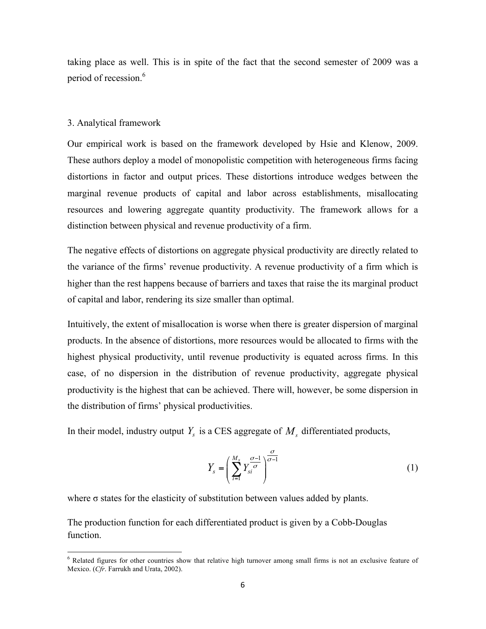taking place as well. This is in spite of the fact that the second semester of 2009 was a period of recession.<sup>6</sup>

### 3. Analytical framework

 

Our empirical work is based on the framework developed by Hsie and Klenow, 2009. These authors deploy a model of monopolistic competition with heterogeneous firms facing distortions in factor and output prices. These distortions introduce wedges between the marginal revenue products of capital and labor across establishments, misallocating resources and lowering aggregate quantity productivity. The framework allows for a distinction between physical and revenue productivity of a firm.

The negative effects of distortions on aggregate physical productivity are directly related to the variance of the firms' revenue productivity. A revenue productivity of a firm which is higher than the rest happens because of barriers and taxes that raise the its marginal product of capital and labor, rendering its size smaller than optimal.

Intuitively, the extent of misallocation is worse when there is greater dispersion of marginal products. In the absence of distortions, more resources would be allocated to firms with the highest physical productivity, until revenue productivity is equated across firms. In this case, of no dispersion in the distribution of revenue productivity, aggregate physical productivity is the highest that can be achieved. There will, however, be some dispersion in the distribution of firms' physical productivities.

In their model, industry output  $Y_s$  is a CES aggregate of  $M_s$  differentiated products,

$$
Y_s = \left(\sum_{i=1}^{M_s} Y_{si}^{\frac{\sigma-1}{\sigma}}\right)^{\frac{\sigma}{\sigma-1}}
$$
 (1)

where  $\sigma$  states for the elasticity of substitution between values added by plants.

The production function for each differentiated product is given by a Cobb-Douglas function.

<sup>&</sup>lt;sup>6</sup> Related figures for other countries show that relative high turnover among small firms is not an exclusive feature of Mexico. (*Cfr*. Farrukh and Urata, 2002).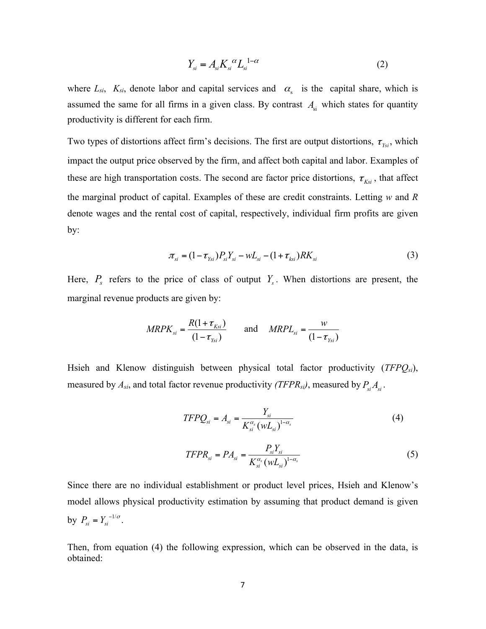$$
Y_{si} = A_{si} K_{si}^{\ \alpha} L_{si}^{1-\alpha} \tag{2}
$$

where  $L_{si}$ ,  $K_{si}$ , denote labor and capital services and  $\alpha_s$  is the capital share, which is assumed the same for all firms in a given class. By contrast  $A_{si}$  which states for quantity productivity is different for each firm.

Two types of distortions affect firm's decisions. The first are output distortions,  $\tau_{ysi}$ , which impact the output price observed by the firm, and affect both capital and labor. Examples of these are high transportation costs. The second are factor price distortions,  $\tau_{\text{ksi}}$ , that affect the marginal product of capital. Examples of these are credit constraints. Letting *w* and *R* denote wages and the rental cost of capital, respectively, individual firm profits are given by:

$$
\pi_{si} = (1 - \tau_{Ysi}) P_{si} Y_{si} - w L_{si} - (1 + \tau_{ksi}) R K_{si}
$$
\n(3)

Here,  $P_s$  refers to the price of class of output  $Y_s$ . When distortions are present, the marginal revenue products are given by:

$$
MRPK_{si} = \frac{R(1 + \tau_{Ksi})}{(1 - \tau_{Ysi})} \quad \text{and} \quad MRPL_{si} = \frac{w}{(1 - \tau_{Ysi})}
$$

Hsieh and Klenow distinguish between physical total factor productivity (*TFPQsi*), measured by  $A_{si}$ , and total factor revenue productivity *(TFPR<sub>si</sub>)*, measured by  $P_{si}A_{si}$ .

$$
TFPQ_{si} = A_{si} = \frac{Y_{si}}{K_{si}^{\alpha_s}(wL_{si})^{1-\alpha_s}}
$$
(4)

$$
TFPR_{si} = PA_{si} = \frac{P_{si}Y_{si}}{K_{si}^{\alpha_{s}}(wL_{si})^{1-\alpha_{s}}}
$$
\n(5)

Since there are no individual establishment or product level prices, Hsieh and Klenow's model allows physical productivity estimation by assuming that product demand is given by  $P_{si} = Y_{si}^{-1/\sigma}$ .

Then, from equation (4) the following expression, which can be observed in the data, is obtained: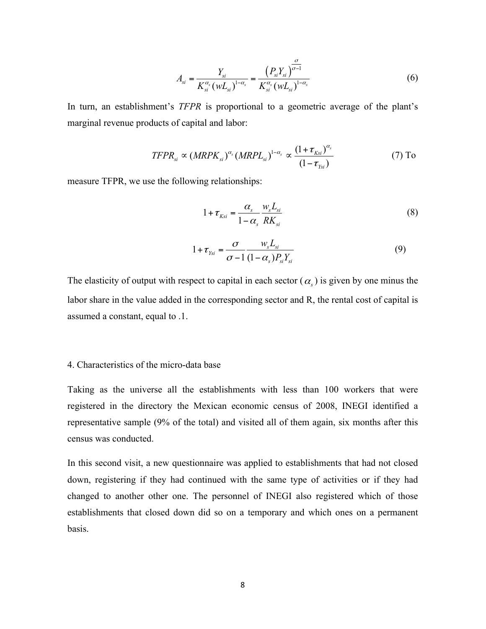$$
A_{si} = \frac{Y_{si}}{K_{si}^{\alpha_s} (w L_{si})^{1-\alpha_s}} = \frac{\left(P_{si} Y_{si}\right)^{\frac{\sigma}{\sigma-1}}}{K_{si}^{\alpha_s} (w L_{si})^{1-\alpha_s}}
$$
(6)

In turn, an establishment's *TFPR* is proportional to a geometric average of the plant's marginal revenue products of capital and labor:

$$
TFPR_{si} \propto (MRPK_{si})^{\alpha_s} (MRPL_{si})^{1-\alpha_s} \propto \frac{(1+\tau_{Ksi})^{\alpha_s}}{(1-\tau_{Ysi})}
$$
(7) To

measure TFPR, we use the following relationships:

$$
1 + \tau_{Ksi} = \frac{\alpha_s}{1 - \alpha_s} \frac{w_s L_{si}}{RK_{si}}
$$
 (8)

$$
1 + \tau_{Ysi} = \frac{\sigma}{\sigma - 1} \frac{w_s L_{si}}{(1 - \alpha_s) P_{si} Y_{si}}
$$
(9)

The elasticity of output with respect to capital in each sector  $(\alpha_s)$  is given by one minus the labor share in the value added in the corresponding sector and R, the rental cost of capital is assumed a constant, equal to .1.

#### 4. Characteristics of the micro-data base

Taking as the universe all the establishments with less than 100 workers that were registered in the directory the Mexican economic census of 2008, INEGI identified a representative sample (9% of the total) and visited all of them again, six months after this census was conducted.

In this second visit, a new questionnaire was applied to establishments that had not closed down, registering if they had continued with the same type of activities or if they had changed to another other one. The personnel of INEGI also registered which of those establishments that closed down did so on a temporary and which ones on a permanent basis.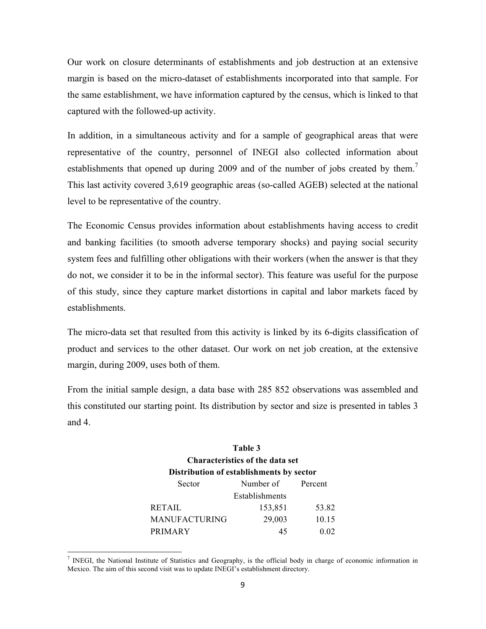Our work on closure determinants of establishments and job destruction at an extensive margin is based on the micro-dataset of establishments incorporated into that sample. For the same establishment, we have information captured by the census, which is linked to that captured with the followed-up activity.

In addition, in a simultaneous activity and for a sample of geographical areas that were representative of the country, personnel of INEGI also collected information about establishments that opened up during 2009 and of the number of jobs created by them.<sup>7</sup> This last activity covered 3,619 geographic areas (so-called AGEB) selected at the national level to be representative of the country.

The Economic Census provides information about establishments having access to credit and banking facilities (to smooth adverse temporary shocks) and paying social security system fees and fulfilling other obligations with their workers (when the answer is that they do not, we consider it to be in the informal sector). This feature was useful for the purpose of this study, since they capture market distortions in capital and labor markets faced by establishments.

The micro-data set that resulted from this activity is linked by its 6-digits classification of product and services to the other dataset. Our work on net job creation, at the extensive margin, during 2009, uses both of them.

From the initial sample design, a data base with 285 852 observations was assembled and this constituted our starting point. Its distribution by sector and size is presented in tables 3 and 4.

# **Table 3 Characteristics of the data set Distribution of establishments by sector** Sector **Number of** Percent

|                      | Establishments |       |
|----------------------|----------------|-------|
| <b>RETAIL</b>        | 153,851        | 53.82 |
| <b>MANUFACTURING</b> | 29,003         | 10.15 |
| <b>PRIMARY</b>       | 45             | 0.02  |

<sup>&</sup>lt;sup>7</sup> INEGI, the National Institute of Statistics and Geography, is the official body in charge of economic information in Mexico. The aim of this second visit was to update INEGI's establishment directory.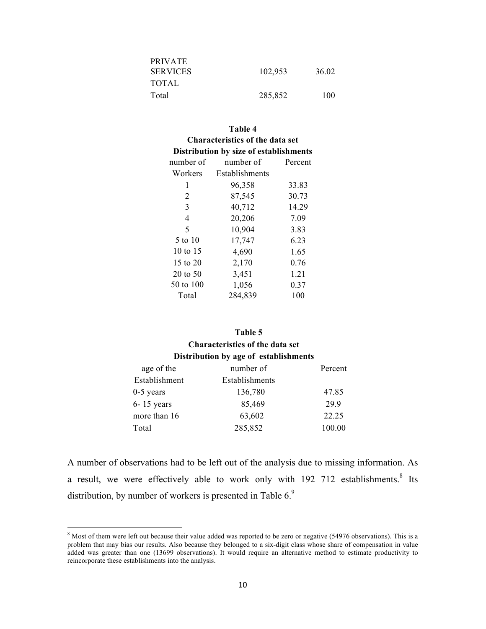| <b>PRIVATE</b>  |         |       |
|-----------------|---------|-------|
| <b>SERVICES</b> | 102,953 | 36.02 |
| <b>TOTAL</b>    |         |       |
| Total           | 285,852 | 100   |

| Table 4                                |         |  |  |  |  |  |  |
|----------------------------------------|---------|--|--|--|--|--|--|
| <b>Characteristics of the data set</b> |         |  |  |  |  |  |  |
| Distribution by size of establishments |         |  |  |  |  |  |  |
| number of mumber of                    | Percent |  |  |  |  |  |  |
| Establishments                         |         |  |  |  |  |  |  |
| 96,358                                 | 33.83   |  |  |  |  |  |  |
| 87,545                                 | 30.73   |  |  |  |  |  |  |
| 40,712                                 | 14.29   |  |  |  |  |  |  |
| 20,206                                 | 7.09    |  |  |  |  |  |  |
| 10,904                                 | 3.83    |  |  |  |  |  |  |
| 17,747                                 | 6.23    |  |  |  |  |  |  |
| 4,690                                  | 1.65    |  |  |  |  |  |  |
| 2,170                                  | 0.76    |  |  |  |  |  |  |
| 3,451                                  | 1.21    |  |  |  |  |  |  |
| 1,056                                  | 0.37    |  |  |  |  |  |  |
| 284,839                                | 100     |  |  |  |  |  |  |
|                                        |         |  |  |  |  |  |  |

# **Table 5 Characteristics of the data set Distribution by age of establishments**

| age of the     | number of      | Percent |
|----------------|----------------|---------|
| Establishment  | Establishments |         |
| $0-5$ years    | 136,780        | 47.85   |
| $6 - 15$ years | 85,469         | 29.9    |
| more than 16   | 63,602         | 22.25   |
| Total          | 285,852        | 100.00  |
|                |                |         |

A number of observations had to be left out of the analysis due to missing information. As a result, we were effectively able to work only with 192 712 establishments.<sup>8</sup> Its distribution, by number of workers is presented in Table 6.<sup>9</sup>

<sup>&</sup>lt;sup>8</sup> Most of them were left out because their value added was reported to be zero or negative (54976 observations). This is a problem that may bias our results. Also because they belonged to a six-digit class whose share of compensation in value added was greater than one (13699 observations). It would require an alternative method to estimate productivity to reincorporate these establishments into the analysis.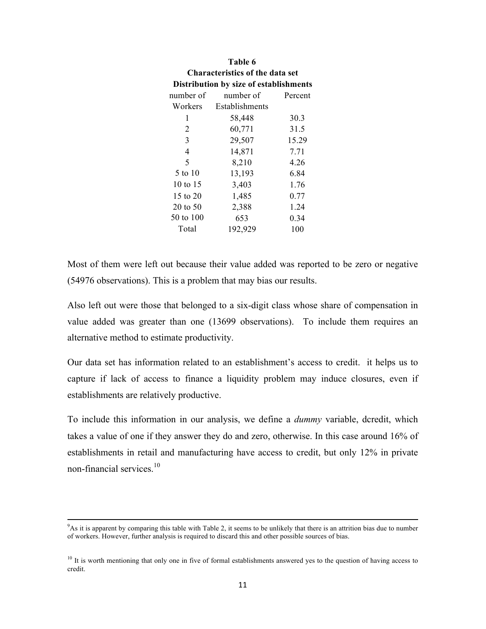| Table 6                                |         |  |  |  |  |  |  |
|----------------------------------------|---------|--|--|--|--|--|--|
| <b>Characteristics of the data set</b> |         |  |  |  |  |  |  |
| Distribution by size of establishments |         |  |  |  |  |  |  |
| number of mumber of                    | Percent |  |  |  |  |  |  |
| Workers Establishments                 |         |  |  |  |  |  |  |
| 58,448                                 | 30.3    |  |  |  |  |  |  |
| 60,771                                 | 31.5    |  |  |  |  |  |  |
| 29,507                                 | 15.29   |  |  |  |  |  |  |
| 14,871                                 | 7.71    |  |  |  |  |  |  |
| 8,210                                  | 4.26    |  |  |  |  |  |  |
| 13,193                                 | 6.84    |  |  |  |  |  |  |
| 3,403                                  | 1.76    |  |  |  |  |  |  |
| 1,485                                  | 0.77    |  |  |  |  |  |  |
| 2,388                                  | 1.24    |  |  |  |  |  |  |
| 653                                    | 0.34    |  |  |  |  |  |  |
| 192,929                                | 100     |  |  |  |  |  |  |
|                                        |         |  |  |  |  |  |  |

Most of them were left out because their value added was reported to be zero or negative (54976 observations). This is a problem that may bias our results.

Also left out were those that belonged to a six-digit class whose share of compensation in value added was greater than one (13699 observations). To include them requires an alternative method to estimate productivity.

Our data set has information related to an establishment's access to credit. it helps us to capture if lack of access to finance a liquidity problem may induce closures, even if establishments are relatively productive.

To include this information in our analysis, we define a *dummy* variable, dcredit, which takes a value of one if they answer they do and zero, otherwise. In this case around 16% of establishments in retail and manufacturing have access to credit, but only 12% in private non-financial services. $10$ 

<sup>&</sup>lt;u> 1989 - Andrea San Andrea San Andrea San Andrea San Andrea San Andrea San Andrea San Andrea San Andrea San An</u> 9 As it is apparent by comparing this table with Table 2, it seems to be unlikely that there is an attrition bias due to number of workers. However, further analysis is required to discard this and other possible sources of bias.

 $10$  It is worth mentioning that only one in five of formal establishments answered yes to the question of having access to credit.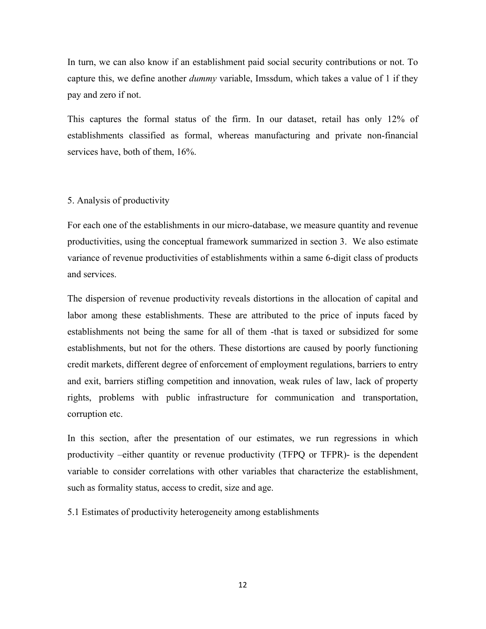In turn, we can also know if an establishment paid social security contributions or not. To capture this, we define another *dummy* variable, Imssdum, which takes a value of 1 if they pay and zero if not.

This captures the formal status of the firm. In our dataset, retail has only 12% of establishments classified as formal, whereas manufacturing and private non-financial services have, both of them, 16%.

# 5. Analysis of productivity

For each one of the establishments in our micro-database, we measure quantity and revenue productivities, using the conceptual framework summarized in section 3. We also estimate variance of revenue productivities of establishments within a same 6-digit class of products and services.

The dispersion of revenue productivity reveals distortions in the allocation of capital and labor among these establishments. These are attributed to the price of inputs faced by establishments not being the same for all of them -that is taxed or subsidized for some establishments, but not for the others. These distortions are caused by poorly functioning credit markets, different degree of enforcement of employment regulations, barriers to entry and exit, barriers stifling competition and innovation, weak rules of law, lack of property rights, problems with public infrastructure for communication and transportation, corruption etc.

In this section, after the presentation of our estimates, we run regressions in which productivity –either quantity or revenue productivity (TFPQ or TFPR)- is the dependent variable to consider correlations with other variables that characterize the establishment, such as formality status, access to credit, size and age.

5.1 Estimates of productivity heterogeneity among establishments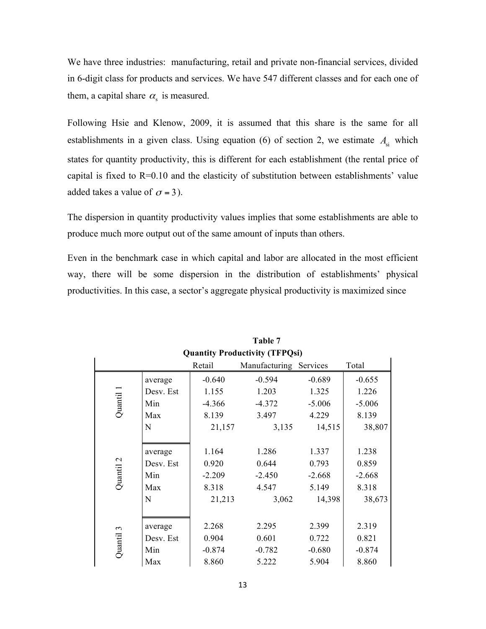We have three industries: manufacturing, retail and private non-financial services, divided in 6-digit class for products and services. We have 547 different classes and for each one of them, a capital share  $\alpha_s$  is measured.

Following Hsie and Klenow, 2009, it is assumed that this share is the same for all establishments in a given class. Using equation (6) of section 2, we estimate  $A_{si}$  which states for quantity productivity, this is different for each establishment (the rental price of capital is fixed to  $R=0.10$  and the elasticity of substitution between establishments' value added takes a value of  $\sigma = 3$ ).

The dispersion in quantity productivity values implies that some establishments are able to produce much more output out of the same amount of inputs than others.

Even in the benchmark case in which capital and labor are allocated in the most efficient way, there will be some dispersion in the distribution of establishments' physical productivities. In this case, a sector's aggregate physical productivity is maximized since

| <b>Quantity Productivity (TFPQsi)</b> |           |          |                        |          |          |  |
|---------------------------------------|-----------|----------|------------------------|----------|----------|--|
|                                       |           | Retail   | Manufacturing Services |          | Total    |  |
|                                       | average   | $-0.640$ | $-0.594$               | $-0.689$ | $-0.655$ |  |
|                                       | Desv. Est | 1.155    | 1.203                  | 1.325    | 1.226    |  |
| Quantil 1                             | Min       | $-4.366$ | $-4.372$               | $-5.006$ | $-5.006$ |  |
|                                       | Max       | 8.139    | 3.497                  | 4.229    | 8.139    |  |
|                                       | N         | 21,157   | 3,135                  | 14,515   | 38,807   |  |
|                                       |           |          |                        |          |          |  |
|                                       | average   | 1.164    | 1.286                  | 1.337    | 1.238    |  |
|                                       | Desv. Est | 0.920    | 0.644                  | 0.793    | 0.859    |  |
| Quantil 2                             | Min       | $-2.209$ | $-2.450$               | $-2.668$ | $-2.668$ |  |
|                                       | Max       | 8.318    | 4.547                  | 5.149    | 8.318    |  |
|                                       | N         | 21,213   | 3,062                  | 14,398   | 38,673   |  |
|                                       |           |          |                        |          |          |  |
|                                       | average   | 2.268    | 2.295                  | 2.399    | 2.319    |  |
|                                       | Desv. Est | 0.904    | 0.601                  | 0.722    | 0.821    |  |
| Quantil 3                             | Min       | $-0.874$ | $-0.782$               | $-0.680$ | $-0.874$ |  |
|                                       | Max       | 8.860    | 5.222                  | 5.904    | 8.860    |  |

**Table 7**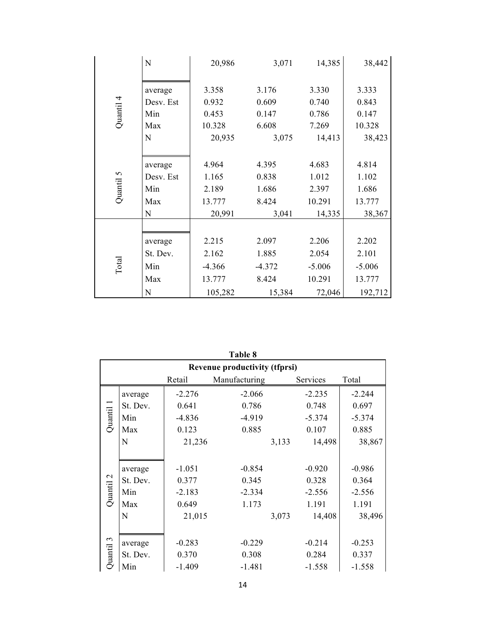|           | $\mathbf N$ | 20,986   | 3,071    | 14,385   | 38,442   |
|-----------|-------------|----------|----------|----------|----------|
|           |             |          |          |          |          |
|           | average     | 3.358    | 3.176    | 3.330    | 3.333    |
|           | Desv. Est   | 0.932    | 0.609    | 0.740    | 0.843    |
| Quantil 4 | Min         | 0.453    | 0.147    | 0.786    | 0.147    |
|           | Max         | 10.328   | 6.608    | 7.269    | 10.328   |
|           | N           | 20,935   | 3,075    | 14,413   | 38,423   |
|           |             |          |          |          |          |
|           | average     | 4.964    | 4.395    | 4.683    | 4.814    |
|           | Desv. Est   | 1.165    | 0.838    | 1.012    | 1.102    |
| Quantil 5 | Min         | 2.189    | 1.686    | 2.397    | 1.686    |
|           | Max         | 13.777   | 8.424    | 10.291   | 13.777   |
|           | $\mathbf N$ | 20,991   | 3,041    | 14,335   | 38,367   |
|           |             |          |          |          |          |
|           | average     | 2.215    | 2.097    | 2.206    | 2.202    |
|           | St. Dev.    | 2.162    | 1.885    | 2.054    | 2.101    |
| Total     | Min         | $-4.366$ | $-4.372$ | $-5.006$ | $-5.006$ |
|           | Max         | 13.777   | 8.424    | 10.291   | 13.777   |
|           | $\mathbf N$ | 105,282  | 15,384   | 72,046   | 192,712  |

|           |                                              |          | Table 8                              |       |          |          |  |  |
|-----------|----------------------------------------------|----------|--------------------------------------|-------|----------|----------|--|--|
|           |                                              |          | <b>Revenue productivity (tfprsi)</b> |       |          |          |  |  |
|           | Retail<br>Manufacturing<br>Services<br>Total |          |                                      |       |          |          |  |  |
|           | average                                      | $-2.276$ | $-2.066$                             |       | $-2.235$ | $-2.244$ |  |  |
|           | St. Dev.                                     | 0.641    | 0.786                                |       | 0.748    | 0.697    |  |  |
| Quantil 1 | Min                                          | $-4.836$ | $-4.919$                             |       | $-5.374$ | $-5.374$ |  |  |
|           | Max                                          | 0.123    | 0.885                                |       | 0.107    | 0.885    |  |  |
|           | N                                            | 21,236   |                                      | 3,133 | 14,498   | 38,867   |  |  |
|           |                                              |          |                                      |       |          |          |  |  |
|           | average                                      | $-1.051$ | $-0.854$                             |       | $-0.920$ | $-0.986$ |  |  |
|           | St. Dev.                                     | 0.377    | 0.345                                |       | 0.328    | 0.364    |  |  |
| Quantil 2 | Min                                          | $-2.183$ | $-2.334$                             |       | $-2.556$ | $-2.556$ |  |  |
|           | Max                                          | 0.649    | 1.173                                |       | 1.191    | 1.191    |  |  |
|           | N                                            | 21,015   |                                      | 3,073 | 14,408   | 38,496   |  |  |
|           |                                              |          |                                      |       |          |          |  |  |
|           | average                                      | $-0.283$ | $-0.229$                             |       | $-0.214$ | $-0.253$ |  |  |
| Quantil 3 | St. Dev.                                     | 0.370    | 0.308                                |       | 0.284    | 0.337    |  |  |
|           | Min                                          | $-1.409$ | $-1.481$                             |       | $-1.558$ | $-1.558$ |  |  |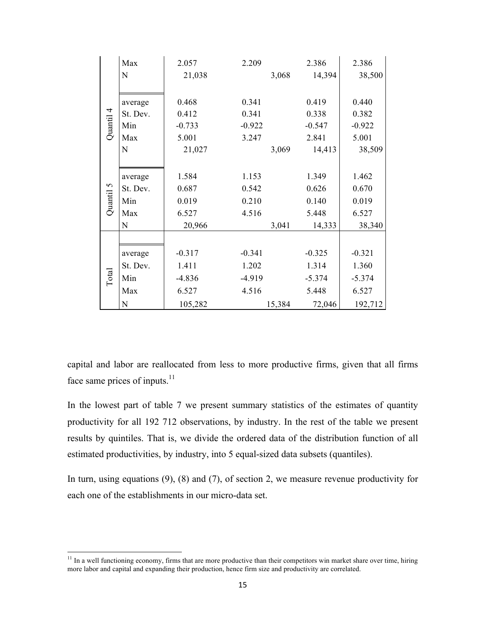|           | Max         | 2.057    | 2.209    | 2.386            | 2.386    |
|-----------|-------------|----------|----------|------------------|----------|
|           | $\mathbf N$ | 21,038   |          | 3,068<br>14,394  | 38,500   |
|           |             |          |          |                  |          |
|           | average     | 0.468    | 0.341    | 0.419            | 0.440    |
|           | St. Dev.    | 0.412    | 0.341    | 0.338            | 0.382    |
| Quantil 4 | Min         | $-0.733$ | $-0.922$ | $-0.547$         | $-0.922$ |
|           | Max         | 5.001    | 3.247    | 2.841            | 5.001    |
|           | N           | 21,027   |          | 3,069<br>14,413  | 38,509   |
|           |             |          |          |                  |          |
|           | average     | 1.584    | 1.153    | 1.349            | 1.462    |
|           | St. Dev.    | 0.687    | 0.542    | 0.626            | 0.670    |
| Quantil 5 | Min         | 0.019    | 0.210    | 0.140            | 0.019    |
|           | Max         | 6.527    | 4.516    | 5.448            | 6.527    |
|           | $\mathbf N$ | 20,966   |          | 3,041<br>14,333  | 38,340   |
|           |             |          |          |                  |          |
|           | average     | $-0.317$ | $-0.341$ | $-0.325$         | $-0.321$ |
|           | St. Dev.    | 1.411    | 1.202    | 1.314            | 1.360    |
| Total     | Min         | $-4.836$ | $-4.919$ | $-5.374$         | $-5.374$ |
|           | Max         | 6.527    | 4.516    | 5.448            | 6.527    |
|           | $\mathbf N$ | 105,282  |          | 72,046<br>15,384 | 192,712  |

capital and labor are reallocated from less to more productive firms, given that all firms face same prices of inputs.<sup>11</sup>

In the lowest part of table 7 we present summary statistics of the estimates of quantity productivity for all 192 712 observations, by industry. In the rest of the table we present results by quintiles. That is, we divide the ordered data of the distribution function of all estimated productivities, by industry, into 5 equal-sized data subsets (quantiles).

In turn, using equations (9), (8) and (7), of section 2, we measure revenue productivity for each one of the establishments in our micro-data set.

<sup>&</sup>lt;sup>11</sup> In a well functioning economy, firms that are more productive than their competitors win market share over time, hiring more labor and capital and expanding their production, hence firm size and productivity are correlated.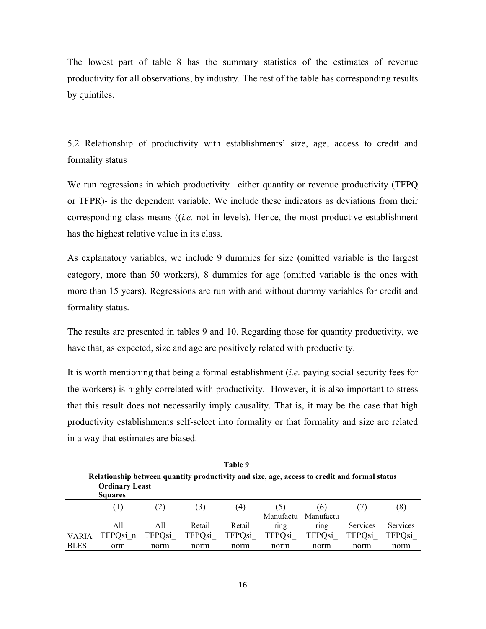The lowest part of table 8 has the summary statistics of the estimates of revenue productivity for all observations, by industry. The rest of the table has corresponding results by quintiles.

5.2 Relationship of productivity with establishments' size, age, access to credit and formality status

We run regressions in which productivity –either quantity or revenue productivity (TFPQ) or TFPR)- is the dependent variable. We include these indicators as deviations from their corresponding class means ((*i.e.* not in levels). Hence, the most productive establishment has the highest relative value in its class.

As explanatory variables, we include 9 dummies for size (omitted variable is the largest category, more than 50 workers), 8 dummies for age (omitted variable is the ones with more than 15 years). Regressions are run with and without dummy variables for credit and formality status.

The results are presented in tables 9 and 10. Regarding those for quantity productivity, we have that, as expected, size and age are positively related with productivity.

It is worth mentioning that being a formal establishment (*i.e.* paying social security fees for the workers) is highly correlated with productivity. However, it is also important to stress that this result does not necessarily imply causality. That is, it may be the case that high productivity establishments self-select into formality or that formality and size are related in a way that estimates are biased.

|              | Table 9                                                                                      |               |               |        |               |               |          |          |  |  |  |  |  |  |  |
|--------------|----------------------------------------------------------------------------------------------|---------------|---------------|--------|---------------|---------------|----------|----------|--|--|--|--|--|--|--|
|              | Relationship between quantity productivity and size, age, access to credit and formal status |               |               |        |               |               |          |          |  |  |  |  |  |  |  |
|              | <b>Ordinary Least</b>                                                                        |               |               |        |               |               |          |          |  |  |  |  |  |  |  |
|              | <b>Squares</b>                                                                               |               |               |        |               |               |          |          |  |  |  |  |  |  |  |
|              | (1)                                                                                          | (2)           | (3)           | (4)    | (5)           | (6)           |          | (8)      |  |  |  |  |  |  |  |
|              |                                                                                              |               |               |        | Manufactu     | Manufactu     |          |          |  |  |  |  |  |  |  |
|              | All                                                                                          | All           | Retail        | Retail | ring          | ring          | Services | Services |  |  |  |  |  |  |  |
| <b>VARIA</b> | TFPQsi n                                                                                     | <b>TFPQsi</b> | <b>TFPQsi</b> | TFPQsi | <b>TFPOsi</b> | <b>TFPOsi</b> | TFPQsi   | TFPQsi   |  |  |  |  |  |  |  |
| <b>BLES</b>  | orm                                                                                          | norm          | norm          | norm   | norm          | norm          | norm     | norm     |  |  |  |  |  |  |  |

**Table 9**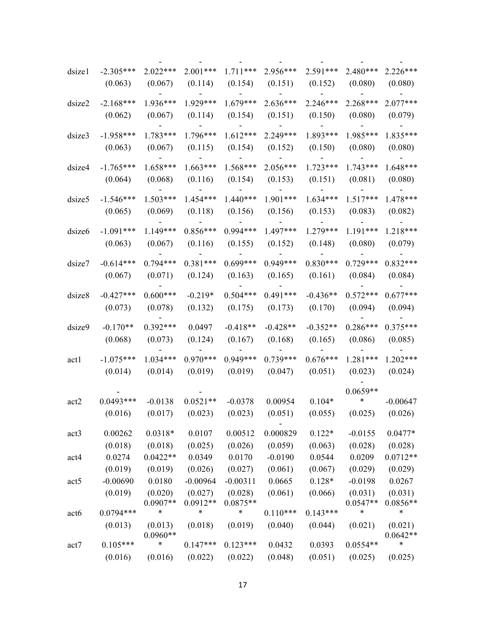| dsize1           | $-2.305***$            | $2.022***$                      | $2.001***$                          | $1.711***$                          | $2.956***$                                                                                 | $2.591***$                        | $2.480***$                         | $2.226***$                      |
|------------------|------------------------|---------------------------------|-------------------------------------|-------------------------------------|--------------------------------------------------------------------------------------------|-----------------------------------|------------------------------------|---------------------------------|
|                  | (0.063)                | (0.067)                         | (0.114)                             | (0.154)                             | (0.151)                                                                                    | (0.152)                           | (0.080)                            | (0.080)                         |
| dsize2           | $-2.168***$<br>(0.062) | $1.936***$<br>(0.067)           | $1.929***$<br>(0.114)               | $1.679***$<br>(0.154)               | $2.636***$                                                                                 | $2.246***$<br>$(0.151)$ $(0.150)$ | $2.268***$<br>(0.080)              | $2.077***$<br>(0.079)           |
| dsize3           | $-1.958***$            | $1.783***$                      | $1.796***$                          | $1.612***$                          | $2.249***$                                                                                 | $1.893***$                        | 1.985***                           | $1.835***$                      |
|                  | (0.063)                | (0.067)                         | (0.115)                             | (0.154)                             | (0.152)                                                                                    | (0.150)                           | (0.080)                            | (0.080)                         |
| dsize4           | $-1.765***$            | $1.658***$                      | $1.663***$                          | $1.568***$                          | $2.056***$                                                                                 | $1.723***$                        | $1.743***$                         | $1.648***$                      |
|                  | (0.064)                | (0.068)                         | (0.116)                             | (0.154)                             | (0.153)                                                                                    | (0.151)                           | (0.081)                            | (0.080)                         |
| dsize5           | $-1.546***$<br>(0.065) | $1.503***$<br>(0.069)           | $1.454***$<br>(0.118)               | $1.440***$<br>(0.156)               | $1.901***$                                                                                 | $1.634***$<br>$(0.156)$ $(0.153)$ | $1.517***$<br>(0.083)              | $1.478***$<br>(0.082)           |
| dsize6           | $-1.091***$            | $1.149***$                      | $0.856***$                          | $0.994***$                          | $1.497***$                                                                                 | $1.279***$                        | $1.191***$                         | $1.218***$                      |
|                  | (0.063)                | (0.067)                         | (0.116)                             | (0.155)                             | (0.152)                                                                                    | (0.148)                           | (0.080)                            | (0.079)                         |
| dsize7           | $-0.614***$<br>(0.067) | $0.794***$<br>(0.071)           | $0.381***$<br>(0.124)               | $0.699***$<br>(0.163)               | $0.949***$                                                                                 | $0.830***$<br>$(0.165)$ $(0.161)$ | $0.729***$<br>(0.084)              | $0.832***$<br>(0.084)           |
| dsize8           | $-0.427***$            | $0.600***$                      | $-0.219*$                           | $0.504***$                          | $0.491***$                                                                                 | $-0.436**$                        | $0.572***$                         | $0.677***$                      |
|                  | (0.073)                | (0.078)                         | (0.132)                             | (0.175)                             | (0.173)                                                                                    | (0.170)                           | (0.094)                            | (0.094)                         |
| dsize9           | $-0.170**$             | $0.392***$                      | 0.0497                              | $-0.418**$                          | $-0.428**$                                                                                 | $-0.352**$                        | $0.286***$                         | $0.375***$                      |
|                  | (0.068)                | (0.073)                         | (0.124)                             | (0.167)                             | (0.168)                                                                                    | (0.165)                           | (0.086)                            | (0.085)                         |
| act1             | $-1.075***$            | $1.034***$                      | $0.970***$                          | $0.949***$                          | $0.739***$                                                                                 | $0.676***$                        | $1.281***$                         | $1.202***$                      |
|                  | (0.014)                | (0.014)                         | (0.019)                             | (0.019)                             | (0.047)                                                                                    | (0.051)                           | (0.023)                            | (0.024)                         |
|                  |                        |                                 |                                     |                                     |                                                                                            |                                   | $0.0659**$<br>$\ast$               |                                 |
| act2             | $0.0493***$            | $-0.0138$                       | $0.0521**$                          | $-0.0378$                           | 0.00954<br>$(0.016)$ $(0.017)$ $(0.023)$ $(0.023)$ $(0.051)$ $(0.055)$ $(0.025)$ $(0.026)$ | $0.104*$                          |                                    | $-0.00647$                      |
| act3             | 0.00262                | $0.0318*$                       | 0.0107                              | 0.00512                             | 0.000829                                                                                   | $0.122*$                          | $-0.0155$                          | $0.0477*$                       |
|                  | (0.018)                | (0.018)                         | (0.025)                             | (0.026)                             | (0.059)                                                                                    | (0.063)                           | (0.028)                            | (0.028)                         |
| act4             | 0.0274                 | $0.0422**$                      | 0.0349                              | 0.0170                              | $-0.0190$                                                                                  | 0.0544                            | 0.0209                             | $0.0712**$                      |
|                  | (0.019)                | (0.019)                         | (0.026)                             | (0.027)                             | (0.061)                                                                                    | (0.067)                           | (0.029)                            | (0.029)                         |
| act <sub>5</sub> | $-0.00690$<br>(0.019)  | 0.0180<br>(0.020)<br>$0.0907**$ | $-0.00964$<br>(0.027)<br>$0.0912**$ | $-0.00311$<br>(0.028)<br>$0.0875**$ | 0.0665<br>(0.061)                                                                          | $0.128*$<br>(0.066)               | $-0.0198$<br>(0.031)<br>$0.0547**$ | 0.0267<br>(0.031)<br>$0.0856**$ |
| act6             | $0.0794***$            | $\ast$                          | $\ast$                              | $\ast$                              | $0.110***$                                                                                 | $0.143***$                        | $\ast$                             | $\ast$                          |
|                  | (0.013)                | (0.013)                         | (0.018)                             | (0.019)                             | (0.040)                                                                                    | (0.044)                           | (0.021)                            | (0.021)                         |
| act7             | $0.105***$             | $0.0960**$<br>∗                 | $0.147***$                          | $0.123***$                          | 0.0432                                                                                     | 0.0393                            | $0.0554**$                         | $0.0642**$<br>*                 |
|                  | (0.016)                | (0.016)                         | (0.022)                             | (0.022)                             | (0.048)                                                                                    | (0.051)                           | (0.025)                            | (0.025)                         |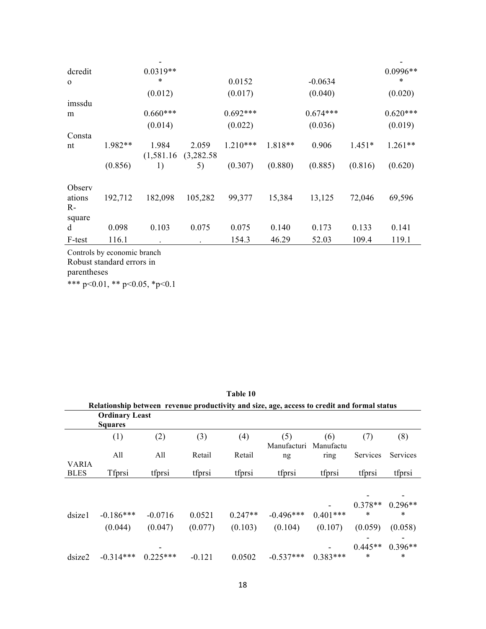| dcredit      |         | $0.0319**$ |            |            |         |            |          | $0.0996**$ |
|--------------|---------|------------|------------|------------|---------|------------|----------|------------|
| $\mathbf{O}$ |         | *          |            | 0.0152     |         | $-0.0634$  |          | *          |
|              |         | (0.012)    |            | (0.017)    |         | (0.040)    |          | (0.020)    |
| imssdu       |         |            |            |            |         |            |          |            |
| m            |         | $0.660***$ |            | $0.692***$ |         | $0.674***$ |          | $0.620***$ |
|              |         | (0.014)    |            | (0.022)    |         | (0.036)    |          | (0.019)    |
| Consta       |         |            |            |            |         |            |          |            |
| nt           | 1.982** | 1.984      | 2.059      | $1.210***$ | 1.818** | 0.906      | $1.451*$ | $1.261**$  |
|              |         | (1,581.16) | (3,282.58) |            |         |            |          |            |
|              | (0.856) | 1)         | 5)         | (0.307)    | (0.880) | (0.885)    | (0.816)  | (0.620)    |
|              |         |            |            |            |         |            |          |            |
| Observ       |         |            |            |            |         |            |          |            |
| ations       | 192,712 | 182,098    | 105,282    | 99,377     | 15,384  | 13,125     | 72,046   | 69,596     |
| $R-$         |         |            |            |            |         |            |          |            |
| square       |         |            |            |            |         |            |          |            |
| d            | 0.098   | 0.103      | 0.075      | 0.075      | 0.140   | 0.173      | 0.133    | 0.141      |
| F-test       | 116.1   |            |            | 154.3      | 46.29   | 52.03      | 109.4    | 119.1      |

Controls by economic branch Robust standard errors in parentheses

\*\*\* p<0.01, \*\* p<0.05, \*p<0.1

|                             | <b>Ordinary Least</b><br><b>Squares</b> |            |          |           | Relationship between revenue productivity and size, age, access to credit and formal status |                  |                 |                 |
|-----------------------------|-----------------------------------------|------------|----------|-----------|---------------------------------------------------------------------------------------------|------------------|-----------------|-----------------|
|                             | (1)                                     | (2)        | (3)      | (4)       | (5)<br>Manufacturi                                                                          | (6)<br>Manufactu | (7)             | (8)             |
|                             | All                                     | All        | Retail   | Retail    | ng                                                                                          | ring             | <b>Services</b> | <b>Services</b> |
| <b>VARIA</b><br><b>BLES</b> | <b>T</b> fprsi                          | tfprsi     | tfprsi   | tfprsi    | tfprsi                                                                                      | tfprsi           | tfprsi          | tfprsi          |
|                             |                                         |            |          |           |                                                                                             |                  |                 |                 |
|                             | $-0.186***$                             | $-0.0716$  | 0.0521   | $0.247**$ | $-0.496***$                                                                                 | $0.401***$       | $0.378**$<br>∗  | $0.296**$<br>*  |
| dsize1                      | (0.044)                                 | (0.047)    | (0.077)  | (0.103)   | (0.104)                                                                                     | (0.107)          | (0.059)         | (0.058)         |
|                             |                                         |            |          |           |                                                                                             |                  |                 |                 |
|                             |                                         |            |          |           |                                                                                             |                  | $0.445**$       | $0.396**$       |
| dsize2                      | $-0.314***$                             | $0.225***$ | $-0.121$ | 0.0502    | $-0.537***$                                                                                 | $0.383***$       | ∗               | $\ast$          |

**Table 10**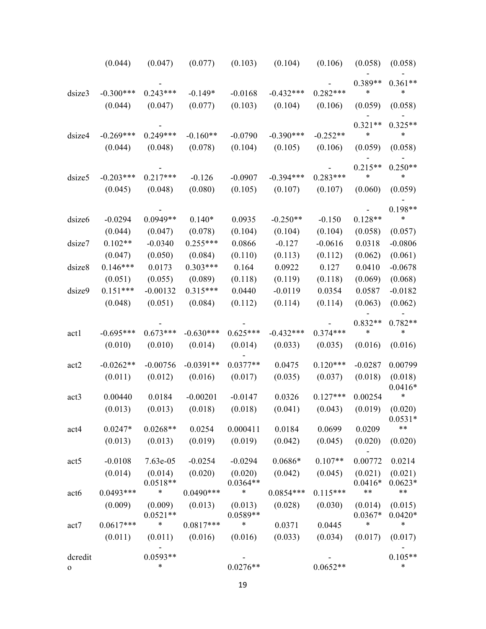|                    | (0.044)     | (0.047)               | (0.077)     | (0.103)               | (0.104)     | (0.106)    | (0.058)              | (0.058)              |
|--------------------|-------------|-----------------------|-------------|-----------------------|-------------|------------|----------------------|----------------------|
|                    |             |                       |             |                       |             |            | 0.389**              | $0.361**$            |
| dsize3             | $-0.300***$ | $0.243***$            | $-0.149*$   | $-0.0168$             | $-0.432***$ | $0.282***$ | $\ast$               | $\ast$               |
|                    | (0.044)     | (0.047)               | (0.077)     | (0.103)               | (0.104)     | (0.106)    | (0.059)              | (0.058)              |
|                    |             |                       |             |                       |             |            | $0.321**$            | $0.325**$            |
| dsize4             | $-0.269***$ | $0.249***$            | $-0.160**$  | $-0.0790$             | $-0.390***$ | $-0.252**$ | $\ast$               | *                    |
|                    | (0.044)     | (0.048)               | (0.078)     | (0.104)               | (0.105)     | (0.106)    | (0.059)              | (0.058)              |
|                    |             |                       |             |                       |             |            | $0.215**$            | $0.250**$            |
| dsize5             | $-0.203***$ | $0.217***$            | $-0.126$    | $-0.0907$             | $-0.394***$ | $0.283***$ | $\ast$               | ∗                    |
|                    | (0.045)     | (0.048)               | (0.080)     | (0.105)               | (0.107)     | (0.107)    | (0.060)              | (0.059)              |
|                    |             |                       |             |                       |             |            |                      | $0.198**$            |
| dsize <sub>6</sub> | $-0.0294$   | $0.0949**$            | $0.140*$    | 0.0935                | $-0.250**$  | $-0.150$   | $0.128**$            | $\ast$               |
|                    | (0.044)     | (0.047)               | (0.078)     | (0.104)               | (0.104)     | (0.104)    | (0.058)              | (0.057)              |
| dsize7             | $0.102**$   | $-0.0340$             | $0.255***$  | 0.0866                | $-0.127$    | $-0.0616$  | 0.0318               | $-0.0806$            |
|                    | (0.047)     | (0.050)               | (0.084)     | (0.110)               | (0.113)     | (0.112)    | (0.062)              | (0.061)              |
| dsize8             | $0.146***$  | 0.0173                | $0.303***$  | 0.164                 | 0.0922      | 0.127      | 0.0410               | $-0.0678$            |
|                    | (0.051)     | (0.055)               | (0.089)     | (0.118)               | (0.119)     | (0.118)    | (0.069)              | (0.068)              |
| dsize9             | $0.151***$  | $-0.00132$            | $0.315***$  | 0.0440                | $-0.0119$   | 0.0354     | 0.0587               | $-0.0182$            |
|                    | (0.048)     | (0.051)               | (0.084)     | (0.112)               | (0.114)     | (0.114)    | (0.063)              | (0.062)              |
|                    |             |                       |             |                       |             |            | $0.832**$            | $0.782**$            |
| act1               | $-0.695***$ | $0.673***$            | $-0.630***$ | $0.625***$            | $-0.432***$ | $0.374***$ | $\ast$               | *                    |
|                    | (0.010)     | (0.010)               | (0.014)     | (0.014)               | (0.033)     | (0.035)    | (0.016)              | (0.016)              |
| act2               | $-0.0262**$ | $-0.00756$            | $-0.0391**$ | $0.0377**$            | 0.0475      | $0.120***$ | $-0.0287$            | 0.00799              |
|                    | (0.011)     | (0.012)               | (0.016)     | (0.017)               | (0.035)     | (0.037)    | (0.018)              | (0.018)<br>$0.0416*$ |
| act <sub>3</sub>   | 0.00440     | 0.0184                | $-0.00201$  | $-0.0147$             | 0.0326      | $0.127***$ | 0.00254              | *                    |
|                    | (0.013)     | (0.013)               | (0.018)     | (0.018)               | (0.041)     | (0.043)    | (0.019)              | (0.020)<br>$0.0531*$ |
| act4               | $0.0247*$   | $0.0268**$            | 0.0254      | 0.000411              | 0.0184      | 0.0699     | 0.0209               | $***$                |
|                    | (0.013)     | (0.013)               | (0.019)     | (0.019)               | (0.042)     | (0.045)    | (0.020)              | (0.020)              |
| act <sub>5</sub>   | $-0.0108$   | 7.63e-05              | $-0.0254$   | $-0.0294$             | $0.0686*$   | $0.107**$  | 0.00772              | 0.0214               |
|                    | (0.014)     | (0.014)<br>$0.0518**$ | (0.020)     | (0.020)<br>$0.0364**$ | (0.042)     | (0.045)    | (0.021)<br>$0.0416*$ | (0.021)<br>$0.0623*$ |
| act6               | $0.0493***$ | $\ast$                | $0.0490***$ | $\ast$                | $0.0854***$ | $0.115***$ | $***$                | $***$                |
|                    | (0.009)     | (0.009)<br>$0.0521**$ | (0.013)     | (0.013)<br>$0.0589**$ | (0.028)     | (0.030)    | (0.014)<br>$0.0367*$ | (0.015)<br>$0.0420*$ |
| act7               | $0.0617***$ | $\ast$                | $0.0817***$ | $\ast$                | 0.0371      | 0.0445     | $\ast$               | $\ast$               |
|                    | (0.011)     | (0.011)               | (0.016)     | (0.016)               | (0.033)     | (0.034)    | (0.017)              | (0.017)              |
| dcredit            |             | $0.0593**$            |             |                       |             |            |                      | $0.105**$            |
| $\mathbf 0$        |             | $\ast$                |             | $0.0276**$            |             | $0.0652**$ |                      | $\ast$               |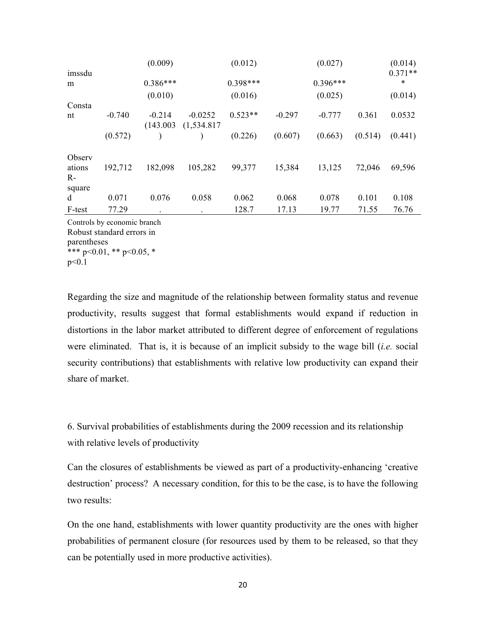|                  |                             | (0.009)               |                           | (0.012)    |          | (0.027)    |         | (0.014)        |
|------------------|-----------------------------|-----------------------|---------------------------|------------|----------|------------|---------|----------------|
| imssdu<br>m      |                             | $0.386***$            |                           | $0.398***$ |          | $0.396***$ |         | $0.371**$<br>* |
|                  |                             | (0.010)               |                           | (0.016)    |          | (0.025)    |         | (0.014)        |
| Consta           |                             |                       |                           |            |          |            |         |                |
| nt               | $-0.740$                    | $-0.214$<br>(143.003) | $-0.0252$<br>(1, 534.817) | $0.523**$  | $-0.297$ | $-0.777$   | 0.361   | 0.0532         |
|                  | (0.572)                     |                       |                           | (0.226)    | (0.607)  | (0.663)    | (0.514) | (0.441)        |
| Observ<br>ations | 192,712                     | 182,098               | 105,282                   | 99,377     | 15,384   | 13,125     | 72,046  | 69,596         |
| $R-$<br>square   |                             |                       |                           |            |          |            |         |                |
| d                | 0.071                       | 0.076                 | 0.058                     | 0.062      | 0.068    | 0.078      | 0.101   | 0.108          |
| F-test           | 77.29                       |                       |                           | 128.7      | 17.13    | 19.77      | 71.55   | 76.76          |
|                  | Controls by economic branch |                       |                           |            |          |            |         |                |
|                  | Robust standard errors in   |                       |                           |            |          |            |         |                |

parentheses \*\*\* p<0.01, \*\* p<0.05, \*  $p<0.1$ 

Regarding the size and magnitude of the relationship between formality status and revenue productivity, results suggest that formal establishments would expand if reduction in distortions in the labor market attributed to different degree of enforcement of regulations were eliminated. That is, it is because of an implicit subsidy to the wage bill (*i.e.* social security contributions) that establishments with relative low productivity can expand their share of market.

6. Survival probabilities of establishments during the 2009 recession and its relationship with relative levels of productivity

Can the closures of establishments be viewed as part of a productivity-enhancing 'creative destruction' process? A necessary condition, for this to be the case, is to have the following two results:

On the one hand, establishments with lower quantity productivity are the ones with higher probabilities of permanent closure (for resources used by them to be released, so that they can be potentially used in more productive activities).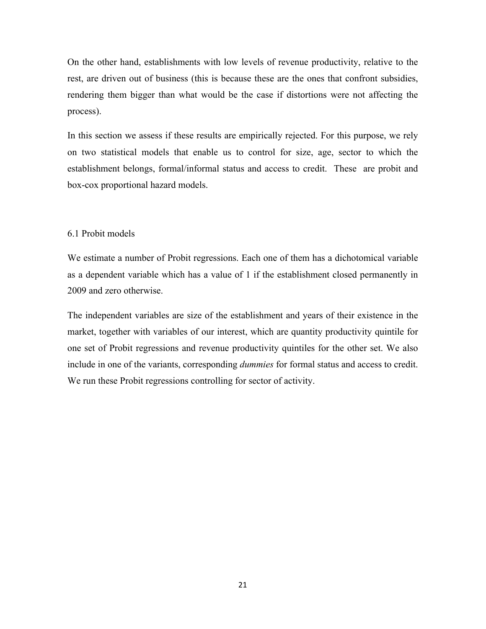On the other hand, establishments with low levels of revenue productivity, relative to the rest, are driven out of business (this is because these are the ones that confront subsidies, rendering them bigger than what would be the case if distortions were not affecting the process).

In this section we assess if these results are empirically rejected. For this purpose, we rely on two statistical models that enable us to control for size, age, sector to which the establishment belongs, formal/informal status and access to credit. These are probit and box-cox proportional hazard models.

## 6.1 Probit models

We estimate a number of Probit regressions. Each one of them has a dichotomical variable as a dependent variable which has a value of 1 if the establishment closed permanently in 2009 and zero otherwise.

The independent variables are size of the establishment and years of their existence in the market, together with variables of our interest, which are quantity productivity quintile for one set of Probit regressions and revenue productivity quintiles for the other set. We also include in one of the variants, corresponding *dummies* for formal status and access to credit. We run these Probit regressions controlling for sector of activity.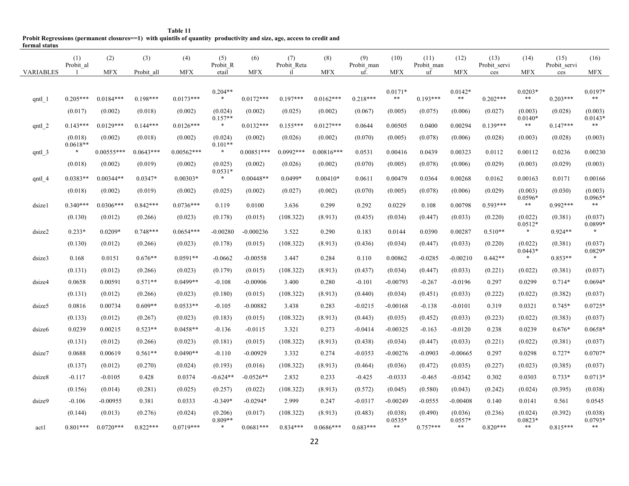| Table 11                                                                                                              |
|-----------------------------------------------------------------------------------------------------------------------|
| Probit Regressions (permanent closures==1) with quintils of quantity productivity and size, age, access to credit and |
| formal status                                                                                                         |

(1) (2) (3) (4) (5) (6) (7) (8) (9) (10) (11) (12) (13) (14) (15) (16) VARIABLES Probit\_al l MFX Probit\_all MFX Probit\_R  $etai\bar{l}$  MFX Probit\_Reta  $i\overline{l}$  MFX Probit\_man  $\overline{\text{u} \cdot \text{u}}$  MFX Probit\_man uf MFX Probit\_servi ces MFX Probit\_servi ces MFX qntl 1 0.205\*\*\* 0.0184\*\*\* 0.198\*\*\* 0.0173\*\*\*  $0.204**$ \* 0.0172\*\*\* 0.197\*\*\* 0.0162\*\*\* 0.218\*\*\*  $0.0171*$  $0.193***$  $0.0142*$  $0.202***$  $0.0203*$  $0.203***$ 0.0197\* \*\*  $(0.017)$   $(0.002)$   $(0.018)$   $(0.002)$   $(0.024)$   $(0.002)$   $(0.025)$   $(0.002)$   $(0.0067)$   $(0.005)$   $(0.005)$   $(0.006)$   $(0.027)$   $(0.003)$   $(0.028)$   $(0.003)$ qntl 2 0.143\*\*\* 0.0129\*\*\* 0.144\*\*\* 0.0126\*\*\* 0.157\*\* \* 0.0132\*\*\* 0.155\*\*\* 0.0127\*\*\* 0.0644 0.00505 0.0400 0.00294 0.139\*\*\* 0.0140\* \*\* 0.147\*\*\* 0.0143\* \*\*  $(0.018)$   $(0.002)$   $(0.018)$   $(0.002)$   $(0.024)$   $(0.002)$   $(0.026)$   $(0.026)$   $(0.070)$   $(0.005)$   $(0.078)$   $(0.006)$   $(0.028)$   $(0.003)$   $(0.028)$   $(0.003)$ qntl\_3 0.0618\*\* \* 0.00555\*\*\* 0.0643\*\*\* 0.00562\*\*\* 0.101\*\* \* 0.00851\*\*\* 0.0992\*\*\* 0.00816\*\*\* 0.0531 0.00416 0.0439 0.00323 0.0112 0.00112 0.0236 0.00230  $(0.018)$   $(0.002)$   $(0.019)$   $(0.002)$   $(0.025)$   $(0.002)$   $(0.026)$   $(0.020)$   $(0.070)$   $(0.005)$   $(0.078)$   $(0.006)$   $(0.029)$   $(0.003)$   $(0.029)$   $(0.003)$ qntl 4 0.0383\*\* 0.00344\*\* 0.0347\* 0.00303\* 0.0531\* \* 0.00448\*\* 0.0499\* 0.00410\* 0.0611 0.00479 0.0364 0.00268 0.0162 0.00163 0.0171 0.00166  $(0.018)$   $(0.002)$   $(0.019)$   $(0.002)$   $(0.025)$   $(0.002)$   $(0.027)$   $(0.002)$   $(0.070)$   $(0.005)$   $(0.078)$   $(0.006)$   $(0.029)$   $(0.003)$   $(0.030)$   $(0.003)$ dsize1 0.340\*\*\* 0.0306\*\*\* 0.842\*\*\* 0.0736\*\*\* 0.119 0.0100 3.636 0.299 0.292 0.0229 0.108 0.00798 0.593\*\*\*  $0.0596*$ \*\* 0.992\*\*\* 0.0965\* \*\*  $(0.130)$   $(0.012)$   $(0.266)$   $(0.023)$   $(0.178)$   $(0.015)$   $(108.322)$   $(8.913)$   $(0.435)$   $(0.034)$   $(0.447)$   $(0.033)$   $(0.220)$   $(0.022)$   $(0.381)$   $(0.037)$ dsize2 0.233\* 0.0209\* 0.748\*\*\* 0.0654\*\*\* -0.00280 -0.000236 3.522 0.290 0.183 0.0144 0.0390 0.00287 0.510\*\* 0.0512\* \* 0.924\*\* 0.0899\* \*  $(0.130)$   $(0.012)$   $(0.266)$   $(0.023)$   $(0.178)$   $(0.015)$   $(108.322)$   $(8.913)$   $(0.436)$   $(0.034)$   $(0.447)$   $(0.033)$   $(0.220)$   $(0.022)$   $(0.381)$   $(0.037)$ dsize3 0.168 0.0151 0.676\*\* 0.0591\*\* -0.0662 -0.00558 3.447 0.284 0.110 0.00862 -0.0285 -0.00210 0.442\*\*  $0.0443*$ \* 0.853\*\* 0.0829\* \*  $(0.131)$   $(0.012)$   $(0.266)$   $(0.023)$   $(0.179)$   $(0.015)$   $(108.322)$   $(8.913)$   $(0.437)$   $(0.034)$   $(0.447)$   $(0.033)$   $(0.221)$   $(0.022)$   $(0.381)$   $(0.037)$ dsize4 0.0658 0.00591 0.571\*\* 0.0499\*\* -0.108 -0.00906 3.400 0.280 -0.101 -0.00793 -0.267 -0.0196 0.297 0.0299 0.714\* 0.0694\*  $(0.131)$   $(0.012)$   $(0.266)$   $(0.023)$   $(0.180)$   $(0.015)$   $(108.322)$   $(8.913)$   $(0.440)$   $(0.034)$   $(0.451)$   $(0.033)$   $(0.222)$   $(0.022)$   $(0.382)$   $(0.037)$ dsize5 0.0816 0.00734 0.609\*\* 0.0533\*\* -0.105 -0.00882 3.438 0.283 -0.0215 -0.00168 -0.138 -0.0101 0.319 0.0321 0.745\* 0.0725\*  $(0.133)$   $(0.012)$   $(0.267)$   $(0.023)$   $(0.183)$   $(0.015)$   $(108.322)$   $(8.913)$   $(0.443)$   $(0.035)$   $(0.452)$   $(0.033)$   $(0.223)$   $(0.022)$   $(0.383)$   $(0.037)$ dsize6 0.0239 0.00215 0.523\*\* 0.0458\*\* -0.136 -0.0115 3.321 0.273 -0.0414 -0.00325 -0.163 -0.0120 0.238 0.0239 0.676\* 0.0658\*  $(0.131)$   $(0.012)$   $(0.266)$   $(0.023)$   $(0.181)$   $(0.015)$   $(108.322)$   $(8.913)$   $(0.438)$   $(0.034)$   $(0.447)$   $(0.033)$   $(0.221)$   $(0.022)$   $(0.381)$   $(0.037)$ dsize7 0.0688 0.00619 0.561\*\* 0.0490\*\* -0.110 -0.00929 3.332 0.274 -0.0353 -0.00276 -0.0903 -0.00665 0.297 0.0298 0.727\* 0.0707\*  $(0.137)$   $(0.012)$   $(0.270)$   $(0.024)$   $(0.193)$   $(0.016)$   $(108.322)$   $(8.913)$   $(0.464)$   $(0.036)$   $(0.472)$   $(0.035)$   $(0.227)$   $(0.023)$   $(0.385)$   $(0.037)$ dsize8 -0.117 -0.0105 0.428 0.0374 -0.624\*\* -0.0526\*\* 2.832 0.233 -0.425 -0.0333 -0.465 -0.0342 0.302 0.0303 0.733\* 0.0713\*  $(0.156)$   $(0.014)$   $(0.281)$   $(0.025)$   $(0.257)$   $(0.022)$   $(108.322)$   $(8.913)$   $(0.572)$   $(0.045)$   $(0.580)$   $(0.043)$   $(0.242)$   $(0.024)$   $(0.395)$   $(0.038)$ dsize9 -0.106 -0.00955 0.381 0.0333 -0.349\* -0.0294\* 2.999 0.247 -0.0317 -0.00249 -0.0555 -0.00408 0.140 0.0141 0.561 0.0545  $(0.144)$   $(0.013)$   $(0.276)$   $(0.024)$   $(0.206)$   $(0.017)$   $(108.322)$   $(8.913)$   $(0.483)$   $(0.038)$   $(0.490)$   $(0.036)$   $(0.236)$   $(0.024)$   $(0.392)$   $(0.038)$ act1 0.801\*\*\* 0.0720\*\*\* 0.822\*\*\* 0.0719\*\*\* 0.809\*\* \* 0.0681\*\*\* 0.834\*\*\* 0.0686\*\*\* 0.683\*\*\* 0.0535\* \*\* 0.757\*\*\* 0.0557\* \*\* 0.820\*\*\* 0.0823\* \*\* 0.815\*\*\* 0.0793\* \*\*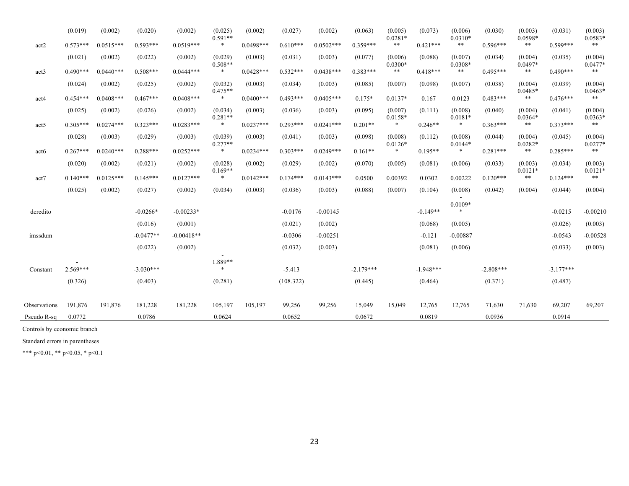|                  | (0.019)    | (0.002)     | (0.020)     | (0.002)      | (0.025)<br>$0.591**$ | (0.002)     | (0.027)    | (0.002)     | (0.063)     | (0.005)<br>$0.0281*$ | (0.073)     | (0.006)<br>$0.0310*$ | (0.030)     | (0.003)<br>$0.0598*$ | (0.031)     | (0.003)<br>0.0583*   |
|------------------|------------|-------------|-------------|--------------|----------------------|-------------|------------|-------------|-------------|----------------------|-------------|----------------------|-------------|----------------------|-------------|----------------------|
| act2             | $0.573***$ | $0.0515***$ | $0.593***$  | $0.0519***$  | $\ast$               | $0.0498***$ | $0.610***$ | $0.0502***$ | $0.359***$  | **                   | $0.421***$  | $***$                | $0.596***$  | **                   | $0.599***$  | $***$                |
|                  | (0.021)    | (0.002)     | (0.022)     | (0.002)      | (0.029)<br>$0.508**$ | (0.003)     | (0.031)    | (0.003)     | (0.077)     | (0.006)<br>$0.0300*$ | (0.088)     | (0.007)<br>$0.0308*$ | (0.034)     | (0.004)<br>$0.0497*$ | (0.035)     | (0.004)<br>$0.0477*$ |
| act3             | $0.490***$ | $0.0440***$ | $0.508***$  | $0.0444***$  | $\ast$               | $0.0428***$ | $0.532***$ | $0.0438***$ | $0.383***$  | $***$                | $0.418***$  | $***$                | $0.495***$  | $***$                | $0.490***$  | $***$                |
|                  | (0.024)    | (0.002)     | (0.025)     | (0.002)      | (0.032)<br>$0.475**$ | (0.003)     | (0.034)    | (0.003)     | (0.085)     | (0.007)              | (0.098)     | (0.007)              | (0.038)     | (0.004)<br>$0.0485*$ | (0.039)     | (0.004)<br>$0.0463*$ |
| act4             | $0.454***$ | $0.0408***$ | $0.467***$  | $0.0408***$  | $\ast$               | $0.0400***$ | $0.493***$ | $0.0405***$ | $0.175*$    | $0.0137*$            | 0.167       | 0.0123               | $0.483***$  | $***$                | $0.476***$  | $***$                |
|                  | (0.025)    | (0.002)     | (0.026)     | (0.002)      | (0.034)<br>$0.281**$ | (0.003)     | (0.036)    | (0.003)     | (0.095)     | (0.007)<br>0.0158*   | (0.111)     | (0.008)<br>$0.0181*$ | (0.040)     | (0.004)<br>$0.0364*$ | (0.041)     | (0.004)<br>$0.0363*$ |
| act <sub>5</sub> | $0.305***$ | $0.0274***$ | $0.323***$  | $0.0283***$  | $\ast$               | $0.0237***$ | $0.293***$ | $0.0241***$ | $0.201**$   | $\ast$               | $0.246**$   | $\ast$               | $0.363***$  | **                   | $0.373***$  | $***$                |
|                  | (0.028)    | (0.003)     | (0.029)     | (0.003)      | (0.039)<br>$0.277**$ | (0.003)     | (0.041)    | (0.003)     | (0.098)     | (0.008)<br>$0.0126*$ | (0.112)     | (0.008)<br>$0.0144*$ | (0.044)     | (0.004)<br>$0.0282*$ | (0.045)     | (0.004)<br>$0.0277*$ |
| act6             | $0.267***$ | $0.0240***$ | $0.288***$  | $0.0252***$  | $\ast$               | $0.0234***$ | $0.303***$ | $0.0249***$ | $0.161**$   | $\ast$               | $0.195**$   | $\ast$               | $0.281***$  | $***$                | $0.285***$  | $***$                |
|                  | (0.020)    | (0.002)     | (0.021)     | (0.002)      | (0.028)<br>$0.169**$ | (0.002)     | (0.029)    | (0.002)     | (0.070)     | (0.005)              | (0.081)     | (0.006)              | (0.033)     | (0.003)<br>$0.0121*$ | (0.034)     | (0.003)<br>$0.0121*$ |
| act7             | $0.140***$ | $0.0125***$ | $0.145***$  | $0.0127***$  | $\ast$               | $0.0142***$ | $0.174***$ | $0.0143***$ | 0.0500      | 0.00392              | 0.0302      | 0.00222              | $0.120***$  | $***$                | $0.124***$  | $***$                |
|                  | (0.025)    | (0.002)     | (0.027)     | (0.002)      | (0.034)              | (0.003)     | (0.036)    | (0.003)     | (0.088)     | (0.007)              | (0.104)     | (0.008)              | (0.042)     | (0.004)              | (0.044)     | (0.004)              |
| dcredito         |            |             | $-0.0266*$  | $-0.00233*$  |                      |             | $-0.0176$  | $-0.00145$  |             |                      | $-0.149**$  | $0.0109*$<br>$\ast$  |             |                      | $-0.0215$   | $-0.00210$           |
|                  |            |             | (0.016)     | (0.001)      |                      |             | (0.021)    | (0.002)     |             |                      | (0.068)     | (0.005)              |             |                      | (0.026)     | (0.003)              |
| imssdum          |            |             | $-0.0477**$ | $-0.00418**$ |                      |             | $-0.0306$  | $-0.00251$  |             |                      | $-0.121$    | $-0.00887$           |             |                      | $-0.0543$   | $-0.00528$           |
|                  |            |             | (0.022)     | (0.002)      |                      |             | (0.032)    | (0.003)     |             |                      | (0.081)     | (0.006)              |             |                      | (0.033)     | (0.003)              |
| Constant         | $2.569***$ |             | $-3.030***$ |              | 1.889**<br>$\ast$    |             | $-5.413$   |             | $-2.179***$ |                      | $-1.948***$ |                      | $-2.808***$ |                      | $-3.177***$ |                      |
|                  | (0.326)    |             | (0.403)     |              | (0.281)              |             | (108.322)  |             | (0.445)     |                      | (0.464)     |                      | (0.371)     |                      | (0.487)     |                      |
| Observations     | 191,876    | 191,876     | 181,228     | 181,228      | 105,197              | 105,197     | 99,256     | 99,256      | 15,049      | 15,049               | 12,765      | 12,765               | 71,630      | 71,630               | 69,207      | 69,207               |
| Pseudo R-sq      | 0.0772     |             | 0.0786      |              | 0.0624               |             | 0.0652     |             | 0.0672      |                      | 0.0819      |                      | 0.0936      |                      | 0.0914      |                      |

Controls by economic branch

Standard errors in parentheses

\*\*\* p<0.01, \*\* p<0.05, \* p<0.1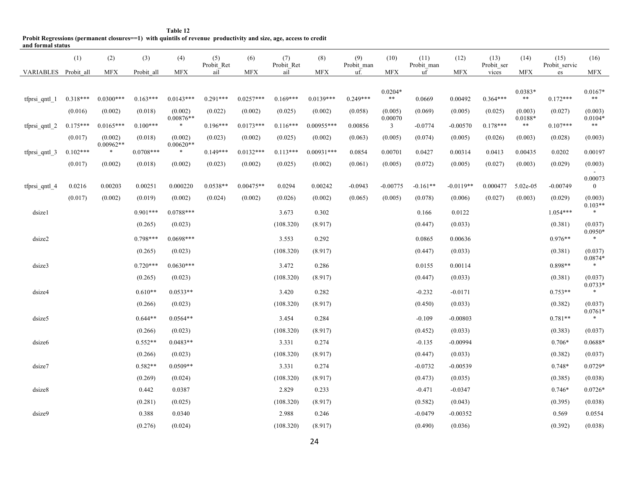| Table 12                                                                                                         |
|------------------------------------------------------------------------------------------------------------------|
| Probit Regressions (permanent closures==1) with quintils of revenue productivity and size, age, access to credit |

**and formal status**

|                      | (1)        | (2)         | (3)         | (4)                    | (5)<br>Probit_Ret | (6)         | (7)<br>Probit_Ret | (8)          | (9)<br>Probit_man | (10)                    | (11)<br>Probit_man | (12)        | (13)<br>Probit_ser | (14)               | (15)<br>Probit_servic | (16)                 |
|----------------------|------------|-------------|-------------|------------------------|-------------------|-------------|-------------------|--------------|-------------------|-------------------------|--------------------|-------------|--------------------|--------------------|-----------------------|----------------------|
| VARIABLES Probit all |            | <b>MFX</b>  | Probit all  | <b>MFX</b>             | ail               | ${\rm MFX}$ | ail               | ${\rm MFX}$  | uf.               | <b>MFX</b>              | uf                 | <b>MFX</b>  | vices              | <b>MFX</b>         | es                    | MFX                  |
|                      |            |             |             |                        |                   |             |                   |              |                   |                         |                    |             |                    |                    |                       |                      |
|                      |            |             |             |                        |                   |             |                   |              |                   | $0.0204*$<br>$\ast\ast$ |                    |             |                    | $0.0383*$<br>$***$ |                       | $0.0167*$<br>$***$   |
| tfprsi qntl 1        | $0.318***$ | $0.0300***$ | $0.163***$  | $0.0143***$            | $0.291***$        | $0.0257***$ | $0.169***$        | $0.0139***$  | $0.249***$        |                         | 0.0669             | 0.00492     | $0.364***$         |                    | $0.172***$            |                      |
|                      | (0.016)    | (0.002)     | (0.018)     | (0.002)<br>$0.00876**$ | (0.022)           | (0.002)     | (0.025)           | (0.002)      | (0.058)           | (0.005)<br>0.00070      | (0.069)            | (0.005)     | (0.025)            | (0.003)<br>0.0188* | (0.027)               | (0.003)<br>$0.0104*$ |
| tfprsi_qntl_2        | $0.175***$ | $0.0165***$ | $0.100***$  | $\ast$                 | $0.196***$        | $0.0173***$ | $0.116***$        | $0.00955***$ | 0.00856           | $\mathbf{3}$            | $-0.0774$          | $-0.00570$  | $0.178***$         | $\ast\ast$         | $0.107***$            | $\ast\ast$           |
|                      | (0.017)    | (0.002)     | (0.018)     | (0.002)                | (0.023)           | (0.002)     | (0.025)           | (0.002)      | (0.063)           | (0.005)                 | (0.074)            | (0.005)     | (0.026)            | (0.003)            | (0.028)               | (0.003)              |
| tfprsi_qntl_3        | $0.102***$ | $0.00962**$ | $0.0708***$ | $0.00620**$<br>$\ast$  | $0.149***$        | $0.0132***$ | $0.113***$        | $0.00931***$ | 0.0854            | 0.00701                 | 0.0427             | 0.00314     | 0.0413             | 0.00435            | 0.0202                | 0.00197              |
|                      | (0.017)    | (0.002)     | (0.018)     | (0.002)                | (0.023)           | (0.002)     | (0.025)           | (0.002)      | (0.061)           | (0.005)                 | (0.072)            | (0.005)     | (0.027)            | (0.003)            | (0.029)               | (0.003)              |
|                      |            |             |             |                        |                   |             |                   |              |                   |                         |                    |             |                    |                    |                       | 0.00073              |
| tfprsi_qntl_4        | 0.0216     | 0.00203     | 0.00251     | 0.000220               | $0.0538**$        | $0.00475**$ | 0.0294            | 0.00242      | $-0.0943$         | $-0.00775$              | $-0.161**$         | $-0.0119**$ | 0.000477           | 5.02e-05           | $-0.00749$            | $\overline{0}$       |
|                      | (0.017)    | (0.002)     | (0.019)     | (0.002)                | (0.024)           | (0.002)     | (0.026)           | (0.002)      | (0.065)           | (0.005)                 | (0.078)            | (0.006)     | (0.027)            | (0.003)            | (0.029)               | (0.003)<br>$0.103**$ |
| dsizel               |            |             | $0.901***$  | $0.0788***$            |                   |             | 3.673             | 0.302        |                   |                         | 0.166              | 0.0122      |                    |                    | $1.054***$            | $\ast$               |
|                      |            |             | (0.265)     | (0.023)                |                   |             | (108.320)         | (8.917)      |                   |                         | (0.447)            | (0.033)     |                    |                    | (0.381)               | (0.037)              |
| dsize2               |            |             | $0.798***$  | $0.0698***$            |                   |             | 3.553             | 0.292        |                   |                         | 0.0865             | 0.00636     |                    |                    | $0.976**$             | $0.0950*$            |
|                      |            |             | (0.265)     | (0.023)                |                   |             | (108.320)         | (8.917)      |                   |                         | (0.447)            | (0.033)     |                    |                    | (0.381)               | (0.037)              |
| dsize3               |            |             | $0.720***$  | $0.0630***$            |                   |             | 3.472             | 0.286        |                   |                         | 0.0155             | 0.00114     |                    |                    | 0.898**               | $0.0874*$            |
|                      |            |             | (0.265)     | (0.023)                |                   |             | (108.320)         | (8.917)      |                   |                         | (0.447)            | (0.033)     |                    |                    | (0.381)               | (0.037)<br>$0.0733*$ |
| dsize4               |            |             | $0.610**$   | $0.0533**$             |                   |             | 3.420             | 0.282        |                   |                         | $-0.232$           | $-0.0171$   |                    |                    | $0.753**$             | $\ast$               |
|                      |            |             | (0.266)     | (0.023)                |                   |             | (108.320)         | (8.917)      |                   |                         | (0.450)            | (0.033)     |                    |                    | (0.382)               | (0.037)              |
| dsize5               |            |             | $0.644**$   | $0.0564**$             |                   |             | 3.454             | 0.284        |                   |                         | $-0.109$           | $-0.00803$  |                    |                    | $0.781**$             | $0.0761*$<br>$\ast$  |
|                      |            |             | (0.266)     | (0.023)                |                   |             | (108.320)         | (8.917)      |                   |                         | (0.452)            | (0.033)     |                    |                    | (0.383)               | (0.037)              |
| dsize6               |            |             | $0.552**$   | $0.0483**$             |                   |             | 3.331             | 0.274        |                   |                         | $-0.135$           | $-0.00994$  |                    |                    | $0.706*$              | 0.0688*              |
|                      |            |             | (0.266)     | (0.023)                |                   |             | (108.320)         | (8.917)      |                   |                         | (0.447)            | (0.033)     |                    |                    | (0.382)               | (0.037)              |
| dsize7               |            |             | $0.582**$   | $0.0509**$             |                   |             | 3.331             | 0.274        |                   |                         | $-0.0732$          | $-0.00539$  |                    |                    | 0.748*                | $0.0729*$            |
|                      |            |             | (0.269)     | (0.024)                |                   |             | (108.320)         | (8.917)      |                   |                         | (0.473)            | (0.035)     |                    |                    | (0.385)               | (0.038)              |
| dsize8               |            |             | 0.442       | 0.0387                 |                   |             | 2.829             | 0.233        |                   |                         | $-0.471$           | $-0.0347$   |                    |                    | $0.746*$              | $0.0726*$            |
|                      |            |             | (0.281)     | (0.025)                |                   |             | (108.320)         | (8.917)      |                   |                         | (0.582)            | (0.043)     |                    |                    | (0.395)               | (0.038)              |
| dsize9               |            |             | 0.388       | 0.0340                 |                   |             | 2.988             | 0.246        |                   |                         | $-0.0479$          | $-0.00352$  |                    |                    | 0.569                 | 0.0554               |
|                      |            |             | (0.276)     | (0.024)                |                   |             | (108.320)         | (8.917)      |                   |                         | (0.490)            | (0.036)     |                    |                    | (0.392)               | (0.038)              |
|                      |            |             |             |                        |                   |             |                   |              |                   |                         |                    |             |                    |                    |                       |                      |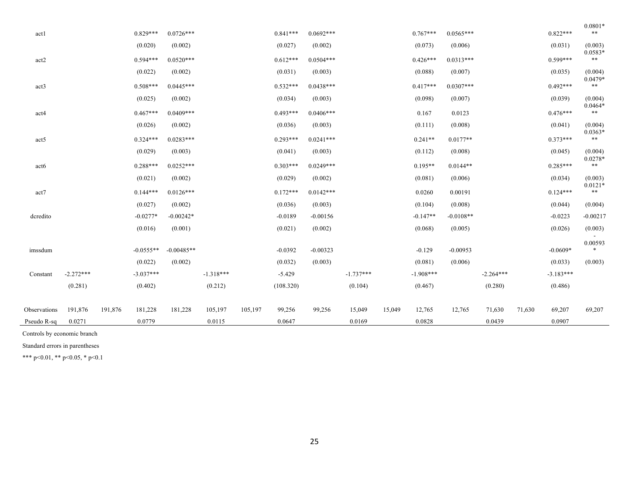| act1             |             |         | $0.829***$  | $0.0726***$  |             |         | $0.841***$ | $0.0692***$ |             |        | $0.767***$  | $0.0565***$ |             |        | $0.822***$  | $0.0801*$<br>$***$   |
|------------------|-------------|---------|-------------|--------------|-------------|---------|------------|-------------|-------------|--------|-------------|-------------|-------------|--------|-------------|----------------------|
|                  |             |         | (0.020)     | (0.002)      |             |         | (0.027)    | (0.002)     |             |        | (0.073)     | (0.006)     |             |        | (0.031)     | (0.003)              |
| act <sub>2</sub> |             |         | $0.594***$  | $0.0520***$  |             |         | $0.612***$ | $0.0504***$ |             |        | $0.426***$  | $0.0313***$ |             |        | $0.599***$  | $0.0583*$<br>$***$   |
|                  |             |         | (0.022)     | (0.002)      |             |         | (0.031)    | (0.003)     |             |        | (0.088)     | (0.007)     |             |        | (0.035)     | (0.004)              |
| act <sub>3</sub> |             |         | $0.508***$  | $0.0445***$  |             |         | $0.532***$ | $0.0438***$ |             |        | $0.417***$  | $0.0307***$ |             |        | $0.492***$  | $0.0479*$<br>$***$   |
|                  |             |         | (0.025)     | (0.002)      |             |         | (0.034)    | (0.003)     |             |        | (0.098)     | (0.007)     |             |        | (0.039)     | (0.004)              |
|                  |             |         | $0.467***$  | $0.0409***$  |             |         | $0.493***$ |             |             |        |             |             |             |        |             | $0.0464*$<br>$***$   |
| act4             |             |         |             |              |             |         |            | $0.0406***$ |             |        | 0.167       | 0.0123      |             |        | $0.476***$  |                      |
|                  |             |         | (0.026)     | (0.002)      |             |         | (0.036)    | (0.003)     |             |        | (0.111)     | (0.008)     |             |        | (0.041)     | (0.004)<br>$0.0363*$ |
| act5             |             |         | $0.324***$  | $0.0283***$  |             |         | $0.293***$ | $0.0241***$ |             |        | $0.241**$   | $0.0177**$  |             |        | $0.373***$  | $***$                |
|                  |             |         | (0.029)     | (0.003)      |             |         | (0.041)    | (0.003)     |             |        | (0.112)     | (0.008)     |             |        | (0.045)     | (0.004)              |
| act <sub>6</sub> |             |         | $0.288***$  | $0.0252***$  |             |         | $0.303***$ | $0.0249***$ |             |        | $0.195**$   | $0.0144**$  |             |        | $0.285***$  | $0.0278*$<br>$***$   |
|                  |             |         | (0.021)     | (0.002)      |             |         | (0.029)    | (0.002)     |             |        | (0.081)     | (0.006)     |             |        | (0.034)     | (0.003)              |
| act7             |             |         | $0.144***$  | $0.0126***$  |             |         | $0.172***$ | $0.0142***$ |             |        | 0.0260      | 0.00191     |             |        | $0.124***$  | $0.0121*$<br>$***$   |
|                  |             |         | (0.027)     | (0.002)      |             |         | (0.036)    | (0.003)     |             |        | (0.104)     | (0.008)     |             |        | (0.044)     | (0.004)              |
| dcredito         |             |         | $-0.0277*$  | $-0.00242*$  |             |         | $-0.0189$  | $-0.00156$  |             |        | $-0.147**$  | $-0.0108**$ |             |        | $-0.0223$   | $-0.00217$           |
|                  |             |         | (0.016)     | (0.001)      |             |         | (0.021)    | (0.002)     |             |        | (0.068)     | (0.005)     |             |        | (0.026)     | (0.003)              |
|                  |             |         |             |              |             |         |            |             |             |        |             |             |             |        |             | 0.00593              |
| imssdum          |             |         | $-0.0555**$ | $-0.00485**$ |             |         | $-0.0392$  | $-0.00323$  |             |        | $-0.129$    | $-0.00953$  |             |        | $-0.0609*$  | $\ast$               |
|                  |             |         | (0.022)     | (0.002)      |             |         | (0.032)    | (0.003)     |             |        | (0.081)     | (0.006)     |             |        | (0.033)     | (0.003)              |
| Constant         | $-2.272***$ |         | $-3.037***$ |              | $-1.318***$ |         | $-5.429$   |             | $-1.737***$ |        | $-1.908***$ |             | $-2.264***$ |        | $-3.183***$ |                      |
|                  | (0.281)     |         | (0.402)     |              | (0.212)     |         | (108.320)  |             | (0.104)     |        | (0.467)     |             | (0.280)     |        | (0.486)     |                      |
| Observations     | 191,876     | 191,876 | 181,228     | 181,228      | 105,197     | 105,197 | 99,256     | 99,256      | 15,049      | 15,049 | 12,765      | 12,765      | 71,630      | 71,630 | 69,207      | 69,207               |
| Pseudo R-sq      | 0.0271      |         | 0.0779      |              | 0.0115      |         | 0.0647     |             | 0.0169      |        | 0.0828      |             | 0.0439      |        | 0.0907      |                      |

Controls by economic branch

Standard errors in parentheses

\*\*\* p<0.01, \*\* p<0.05, \* p<0.1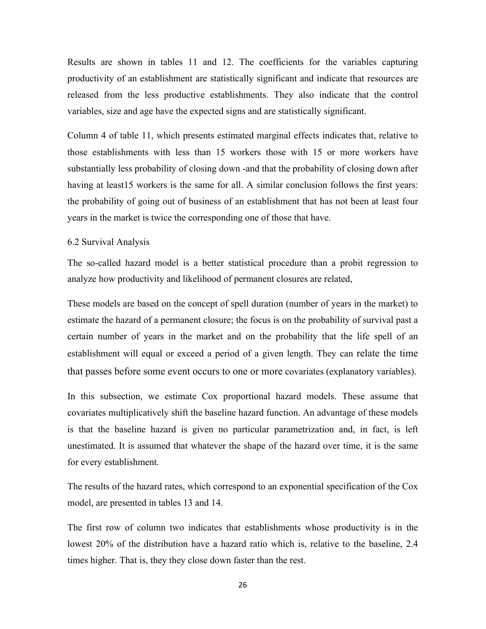Results are shown in tables 11 and 12. The coefficients for the variables capturing productivity of an establishment are statistically significant and indicate that resources are released from the less productive establishments. They also indicate that the control variables, size and age have the expected signs and are statistically significant.

Column 4 of table 11, which presents estimated marginal effects indicates that, relative to those establishments with less than 15 workers those with 15 or more workers have substantially less probability of closing down -and that the probability of closing down after having at least 15 workers is the same for all. A similar conclusion follows the first years: the probability of going out of business of an establishment that has not been at least four years in the market is twice the corresponding one of those that have.

## 6.2 Survival Analysis

The so-called hazard model is a better statistical procedure than a probit regression to analyze how productivity and likelihood of permanent closures are related,

These models are based on the concept of spell duration (number of years in the market) to estimate the hazard of a permanent closure; the focus is on the probability of survival past a certain number of years in the market and on the probability that the life spell of an establishment will equal or exceed a period of a given length. They can relate the time that passes before some event occurs to one or more covariates (explanatory variables).

In this subsection, we estimate Cox proportional hazard models. These assume that covariates multiplicatively shift the baseline hazard function. An advantage of these models is that the baseline hazard is given no particular parametrization and, in fact, is left unestimated. It is assumed that whatever the shape of the hazard over time, it is the same for every establishment.

The results of the hazard rates, which correspond to an exponential specification of the Cox model, are presented in tables 13 and 14.

The first row of column two indicates that establishments whose productivity is in the lowest 20% of the distribution have a hazard ratio which is, relative to the baseline, 2.4 times higher. That is, they they close down faster than the rest.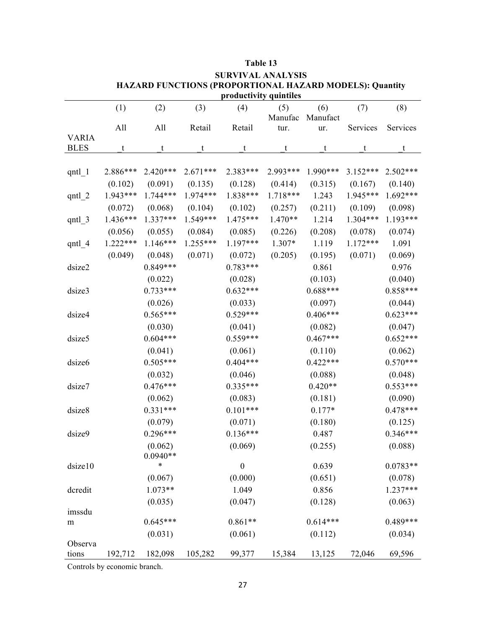|                  |                     |            |                       | productivity quintiles |           |            |            |                     |
|------------------|---------------------|------------|-----------------------|------------------------|-----------|------------|------------|---------------------|
|                  | (1)                 | (2)        | (3)                   | (4)                    | (5)       | (6)        | (7)        | (8)                 |
|                  |                     |            |                       |                        | Manufac   | Manufact   |            |                     |
|                  | All                 | All        | Retail                | Retail                 | tur.      | ur.        | Services   | Services            |
| <b>VARIA</b>     |                     |            |                       |                        |           |            |            |                     |
| <b>BLES</b>      | t                   | t          | t                     | t                      | t         | t          | t          | t                   |
|                  | 2.886***            | $2.420***$ | $2.671***$            | 2.383***               | 2.993***  | 1.990***   | $3.152***$ | $2.502***$          |
| $qntl_1$         |                     | (0.091)    |                       |                        | (0.414)   | (0.315)    | (0.167)    |                     |
|                  | (0.102)<br>1.943*** | $1.744***$ | (0.135)<br>$1.974***$ | (0.128)<br>1.838***    | 1.718***  | 1.243      | $1.945***$ | (0.140)<br>1.692*** |
| $qntl_2$         |                     |            |                       |                        |           |            |            |                     |
|                  | (0.072)             | (0.068)    | (0.104)               | (0.102)                | (0.257)   | (0.211)    | (0.109)    | (0.098)             |
| $qntl_3$         | 1.436***            | $1.337***$ | $1.549***$            | $1.475***$             | $1.470**$ | 1.214      | $1.304***$ | 1.193***            |
|                  | (0.056)             | (0.055)    | (0.084)               | (0.085)                | (0.226)   | (0.208)    | (0.078)    | (0.074)             |
| qnt $1\,4$       | $1.222***$          | $1.146***$ | $1.255***$            | $1.197***$             | $1.307*$  | 1.119      | $1.172***$ | 1.091               |
|                  | (0.049)             | (0.048)    | (0.071)               | (0.072)                | (0.205)   | (0.195)    | (0.071)    | (0.069)             |
| dsize2           |                     | $0.849***$ |                       | $0.783***$             |           | 0.861      |            | 0.976               |
|                  |                     | (0.022)    |                       | (0.028)                |           | (0.103)    |            | (0.040)             |
| dsize3           |                     | $0.733***$ |                       | $0.632***$             |           | $0.688***$ |            | $0.858***$          |
|                  |                     | (0.026)    |                       | (0.033)                |           | (0.097)    |            | (0.044)             |
| dsize4           |                     | $0.565***$ |                       | $0.529***$             |           | $0.406***$ |            | $0.623***$          |
|                  |                     | (0.030)    |                       | (0.041)                |           | (0.082)    |            | (0.047)             |
| dsize5           |                     | $0.604***$ |                       | $0.559***$             |           | $0.467***$ |            | $0.652***$          |
|                  |                     | (0.041)    |                       | (0.061)                |           | (0.110)    |            | (0.062)             |
| dsize6           |                     | $0.505***$ |                       | $0.404***$             |           | $0.422***$ |            | $0.570***$          |
|                  |                     | (0.032)    |                       | (0.046)                |           | (0.088)    |            | (0.048)             |
| dsize7           |                     | $0.476***$ |                       | $0.335***$             |           | $0.420**$  |            | $0.553***$          |
|                  |                     | (0.062)    |                       | (0.083)                |           | (0.181)    |            | (0.090)             |
| dsize8           |                     | $0.331***$ |                       | $0.101***$             |           | $0.177*$   |            | $0.478***$          |
|                  |                     | (0.079)    |                       | (0.071)                |           | (0.180)    |            | (0.125)             |
| dsize9           |                     | $0.296***$ |                       | $0.136***$             |           | 0.487      |            | $0.346***$          |
|                  |                     | (0.062)    |                       | (0.069)                |           | (0.255)    |            | (0.088)             |
|                  |                     | $0.0940**$ |                       |                        |           |            |            |                     |
| dsize10          |                     | $\ast$     |                       | $\boldsymbol{0}$       |           | 0.639      |            | $0.0783**$          |
|                  |                     | (0.067)    |                       | (0.000)                |           | (0.651)    |            | (0.078)             |
| dcredit          |                     | 1.073**    |                       | 1.049                  |           | 0.856      |            | $1.237***$          |
|                  |                     | (0.035)    |                       | (0.047)                |           | (0.128)    |            | (0.063)             |
| imssdu           |                     |            |                       |                        |           |            |            |                     |
| m                |                     | $0.645***$ |                       | $0.861**$              |           | $0.614***$ |            | $0.489***$          |
|                  |                     | (0.031)    |                       | (0.061)                |           | (0.112)    |            | (0.034)             |
| Observa<br>tions | 192,712             | 182,098    | 105,282               | 99,377                 | 15,384    | 13,125     | 72,046     | 69,596              |
|                  |                     |            |                       |                        |           |            |            |                     |

# **Table 13 SURVIVAL ANALYSIS HAZARD FUNCTIONS (PROPORTIONAL HAZARD MODELS): Quantity**

Controls by economic branch.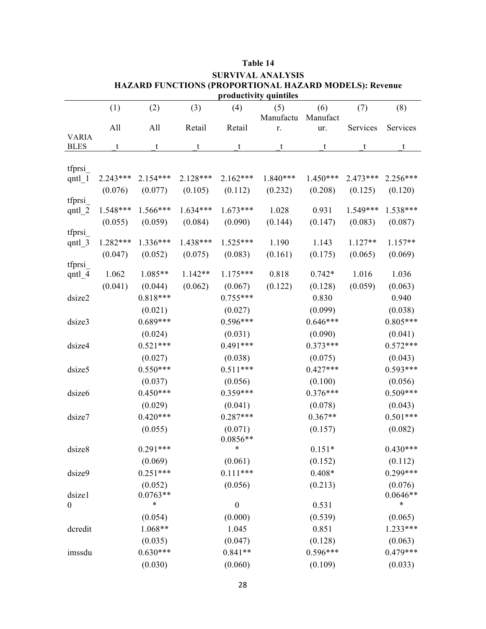| productivity quintiles      |            |            |            |                  |                  |                 |            |            |  |
|-----------------------------|------------|------------|------------|------------------|------------------|-----------------|------------|------------|--|
|                             | (1)        | (2)        | (3)        | (4)              | (5)<br>Manufactu | (6)<br>Manufact | (7)        | (8)        |  |
|                             | All        | All        | Retail     | Retail           | r.               | ur.             | Services   | Services   |  |
| <b>VARIA</b><br><b>BLES</b> | t          | t          | t          | t                | t                | t               | t          | t          |  |
|                             |            |            |            |                  |                  |                 |            |            |  |
| tfprsi_                     |            |            |            |                  |                  |                 |            |            |  |
| $qntl_1$                    | $2.243***$ | $2.154***$ | 2.128***   | $2.162***$       | $1.840***$       | $1.450***$      | $2.473***$ | $2.256***$ |  |
|                             | (0.076)    | (0.077)    | (0.105)    | (0.112)          | (0.232)          | (0.208)         | (0.125)    | (0.120)    |  |
| tfprsi<br>$qntl_2$          | 1.548***   | 1.566***   | $1.634***$ | $1.673***$       | 1.028            | 0.931           | $1.549***$ | 1.538***   |  |
|                             | (0.055)    | (0.059)    | (0.084)    | (0.090)          | (0.144)          | (0.147)         | (0.083)    | (0.087)    |  |
| tfprsi_                     |            |            |            |                  |                  |                 |            |            |  |
| $qntl_3$                    | 1.282***   | 1.336***   | 1.438***   | $1.525***$       | 1.190            | 1.143           | $1.127**$  | $1.157**$  |  |
|                             | (0.047)    | (0.052)    | (0.075)    | (0.083)          | (0.161)          | (0.175)         | (0.065)    | (0.069)    |  |
| tfprsi                      |            |            |            |                  |                  |                 |            |            |  |
| $qntl_4$                    | 1.062      | $1.085**$  | $1.142**$  | $1.175***$       | 0.818            | $0.742*$        | 1.016      | 1.036      |  |
|                             | (0.041)    | (0.044)    | (0.062)    | (0.067)          | (0.122)          | (0.128)         | (0.059)    | (0.063)    |  |
| dsize2                      |            | $0.818***$ |            | $0.755***$       |                  | 0.830           |            | 0.940      |  |
|                             |            | (0.021)    |            | (0.027)          |                  | (0.099)         |            | (0.038)    |  |
| dsize3                      |            | $0.689***$ |            | $0.596***$       |                  | $0.646***$      |            | $0.805***$ |  |
|                             |            | (0.024)    |            | (0.031)          |                  | (0.090)         |            | (0.041)    |  |
| dsize4                      |            | $0.521***$ |            | $0.491***$       |                  | $0.373***$      |            | $0.572***$ |  |
|                             |            | (0.027)    |            | (0.038)          |                  | (0.075)         |            | (0.043)    |  |
| dsize5                      |            | $0.550***$ |            | $0.511***$       |                  | $0.427***$      |            | $0.593***$ |  |
|                             |            | (0.037)    |            | (0.056)          |                  | (0.100)         |            | (0.056)    |  |
| dsize6                      |            | $0.450***$ |            | $0.359***$       |                  | $0.376***$      |            | $0.509***$ |  |
|                             |            | (0.029)    |            | (0.041)          |                  | (0.078)         |            | (0.043)    |  |
| dsize7                      |            | $0.420***$ |            | $0.287***$       |                  | $0.367**$       |            | $0.501***$ |  |
|                             |            | (0.055)    |            | (0.071)          |                  | (0.157)         |            | (0.082)    |  |
|                             |            |            |            | $0.0856**$       |                  |                 |            |            |  |
| dsize8                      |            | $0.291***$ |            | ∗                |                  | $0.151*$        |            | $0.430***$ |  |
|                             |            | (0.069)    |            | (0.061)          |                  | (0.152)         |            | (0.112)    |  |
| dsize9                      |            | $0.251***$ |            | $0.111***$       |                  | $0.408*$        |            | $0.299***$ |  |
|                             |            | (0.052)    |            | (0.056)          |                  | (0.213)         |            | (0.076)    |  |
| dsize1                      |            | $0.0763**$ |            |                  |                  |                 |            | $0.0646**$ |  |
| $\boldsymbol{0}$            |            | *          |            | $\boldsymbol{0}$ |                  | 0.531           |            | $\ast$     |  |
|                             |            | (0.054)    |            | (0.000)          |                  | (0.539)         |            | (0.065)    |  |
| dcredit                     |            | 1.068**    |            | 1.045            |                  | 0.851           |            | 1.233***   |  |
|                             |            | (0.035)    |            | (0.047)          |                  | (0.128)         |            | (0.063)    |  |
| imssdu                      |            | $0.630***$ |            | $0.841**$        |                  | $0.596***$      |            | $0.479***$ |  |
|                             |            | (0.030)    |            | (0.060)          |                  | (0.109)         |            | (0.033)    |  |

| Table 14                                                      |  |  |  |  |
|---------------------------------------------------------------|--|--|--|--|
| <b>SURVIVAL ANALYSIS</b>                                      |  |  |  |  |
| <b>HAZARD FUNCTIONS (PROPORTIONAL HAZARD MODELS): Revenue</b> |  |  |  |  |
| productivity quintiles                                        |  |  |  |  |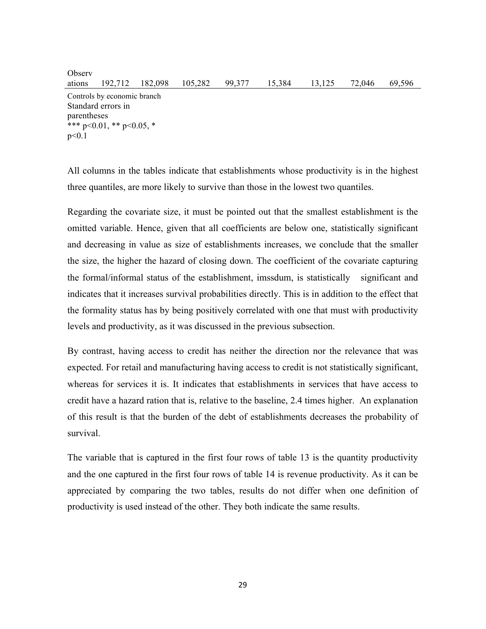**Observ** ations 192,712 182,098 105,282 99,377 15,384 13,125 72,046 69,596 Controls by economic branch Standard errors in parentheses \*\*\* p<0.01, \*\* p<0.05, \* p<0.1

All columns in the tables indicate that establishments whose productivity is in the highest three quantiles, are more likely to survive than those in the lowest two quantiles.

Regarding the covariate size, it must be pointed out that the smallest establishment is the omitted variable. Hence, given that all coefficients are below one, statistically significant and decreasing in value as size of establishments increases, we conclude that the smaller the size, the higher the hazard of closing down. The coefficient of the covariate capturing the formal/informal status of the establishment, imssdum, is statistically significant and indicates that it increases survival probabilities directly. This is in addition to the effect that the formality status has by being positively correlated with one that must with productivity levels and productivity, as it was discussed in the previous subsection.

By contrast, having access to credit has neither the direction nor the relevance that was expected. For retail and manufacturing having access to credit is not statistically significant, whereas for services it is. It indicates that establishments in services that have access to credit have a hazard ration that is, relative to the baseline, 2.4 times higher. An explanation of this result is that the burden of the debt of establishments decreases the probability of survival.

The variable that is captured in the first four rows of table 13 is the quantity productivity and the one captured in the first four rows of table 14 is revenue productivity. As it can be appreciated by comparing the two tables, results do not differ when one definition of productivity is used instead of the other. They both indicate the same results.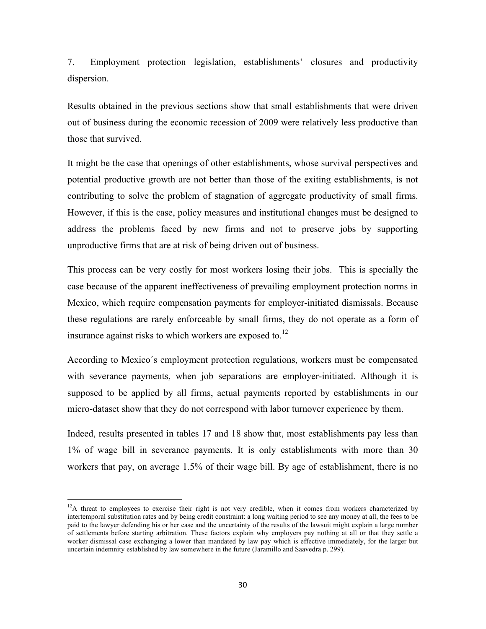7. Employment protection legislation, establishments' closures and productivity dispersion.

Results obtained in the previous sections show that small establishments that were driven out of business during the economic recession of 2009 were relatively less productive than those that survived.

It might be the case that openings of other establishments, whose survival perspectives and potential productive growth are not better than those of the exiting establishments, is not contributing to solve the problem of stagnation of aggregate productivity of small firms. However, if this is the case, policy measures and institutional changes must be designed to address the problems faced by new firms and not to preserve jobs by supporting unproductive firms that are at risk of being driven out of business.

This process can be very costly for most workers losing their jobs. This is specially the case because of the apparent ineffectiveness of prevailing employment protection norms in Mexico, which require compensation payments for employer-initiated dismissals. Because these regulations are rarely enforceable by small firms, they do not operate as a form of insurance against risks to which workers are exposed to.<sup>12</sup>

According to Mexico´s employment protection regulations, workers must be compensated with severance payments, when job separations are employer-initiated. Although it is supposed to be applied by all firms, actual payments reported by establishments in our micro-dataset show that they do not correspond with labor turnover experience by them.

Indeed, results presented in tables 17 and 18 show that, most establishments pay less than 1% of wage bill in severance payments. It is only establishments with more than 30 workers that pay, on average 1.5% of their wage bill. By age of establishment, there is no

<sup>&</sup>lt;sup>12</sup>A threat to employees to exercise their right is not very credible, when it comes from workers characterized by intertemporal substitution rates and by being credit constraint: a long waiting period to see any money at all, the fees to be paid to the lawyer defending his or her case and the uncertainty of the results of the lawsuit might explain a large number of settlements before starting arbitration. These factors explain why employers pay nothing at all or that they settle a worker dismissal case exchanging a lower than mandated by law pay which is effective immediately, for the larger but uncertain indemnity established by law somewhere in the future (Jaramillo and Saavedra p. 299).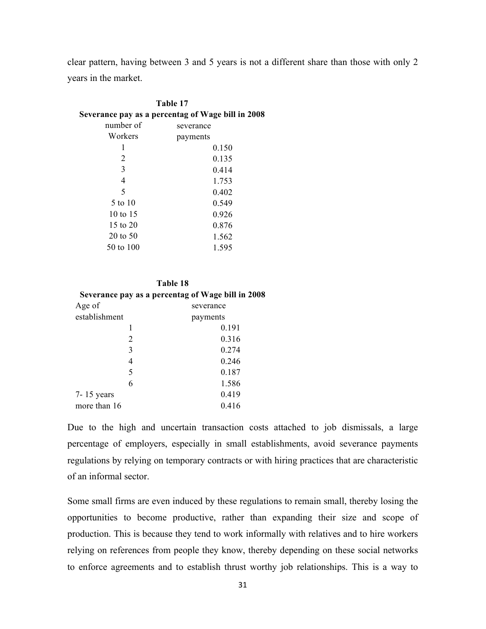clear pattern, having between 3 and 5 years is not a different share than those with only 2 years in the market.

|                                                   | Table 17              |  |  |  |  |
|---------------------------------------------------|-----------------------|--|--|--|--|
| Severance pay as a percentag of Wage bill in 2008 |                       |  |  |  |  |
| number of                                         | severance<br>payments |  |  |  |  |
| Workers                                           |                       |  |  |  |  |
| 1                                                 | 0.150                 |  |  |  |  |
| 2                                                 | 0.135                 |  |  |  |  |
| 3                                                 | 0.414                 |  |  |  |  |
| 4                                                 | 1.753                 |  |  |  |  |
| 5                                                 | 0.402                 |  |  |  |  |
| 5 to 10                                           | 0.549                 |  |  |  |  |
| 10 to 15                                          | 0.926                 |  |  |  |  |
| 15 to 20                                          | 0.876                 |  |  |  |  |
| $20 \text{ to } 50$                               | 1.562                 |  |  |  |  |
| 50 to 100                                         | 1.595                 |  |  |  |  |
|                                                   |                       |  |  |  |  |

| Table 18                                          |           |  |  |  |  |  |  |
|---------------------------------------------------|-----------|--|--|--|--|--|--|
| Severance pay as a percentag of Wage bill in 2008 |           |  |  |  |  |  |  |
| Age of                                            | severance |  |  |  |  |  |  |
| establishment                                     | payments  |  |  |  |  |  |  |
| 1                                                 | 0.191     |  |  |  |  |  |  |
| 2                                                 | 0.316     |  |  |  |  |  |  |
| 3                                                 | 0.274     |  |  |  |  |  |  |
| 4                                                 | 0.246     |  |  |  |  |  |  |
| 5                                                 | 0.187     |  |  |  |  |  |  |
| 6                                                 | 1.586     |  |  |  |  |  |  |
| $7 - 15$ years                                    | 0.419     |  |  |  |  |  |  |
| more than 16                                      | 0.416     |  |  |  |  |  |  |

Due to the high and uncertain transaction costs attached to job dismissals, a large percentage of employers, especially in small establishments, avoid severance payments regulations by relying on temporary contracts or with hiring practices that are characteristic of an informal sector.

Some small firms are even induced by these regulations to remain small, thereby losing the opportunities to become productive, rather than expanding their size and scope of production. This is because they tend to work informally with relatives and to hire workers relying on references from people they know, thereby depending on these social networks to enforce agreements and to establish thrust worthy job relationships. This is a way to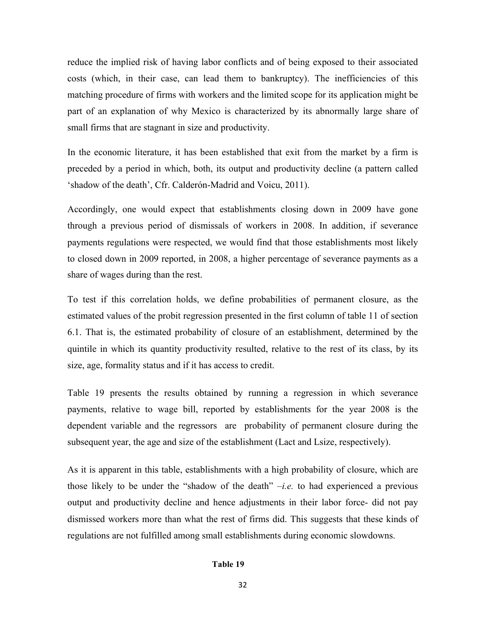reduce the implied risk of having labor conflicts and of being exposed to their associated costs (which, in their case, can lead them to bankruptcy). The inefficiencies of this matching procedure of firms with workers and the limited scope for its application might be part of an explanation of why Mexico is characterized by its abnormally large share of small firms that are stagnant in size and productivity.

In the economic literature, it has been established that exit from the market by a firm is preceded by a period in which, both, its output and productivity decline (a pattern called 'shadow of the death', Cfr. Calderón-Madrid and Voicu, 2011).

Accordingly, one would expect that establishments closing down in 2009 have gone through a previous period of dismissals of workers in 2008. In addition, if severance payments regulations were respected, we would find that those establishments most likely to closed down in 2009 reported, in 2008, a higher percentage of severance payments as a share of wages during than the rest.

To test if this correlation holds, we define probabilities of permanent closure, as the estimated values of the probit regression presented in the first column of table 11 of section 6.1. That is, the estimated probability of closure of an establishment, determined by the quintile in which its quantity productivity resulted, relative to the rest of its class, by its size, age, formality status and if it has access to credit.

Table 19 presents the results obtained by running a regression in which severance payments, relative to wage bill, reported by establishments for the year 2008 is the dependent variable and the regressors are probability of permanent closure during the subsequent year, the age and size of the establishment (Lact and Lsize, respectively).

As it is apparent in this table, establishments with a high probability of closure, which are those likely to be under the "shadow of the death"  $-i.e.$  to had experienced a previous output and productivity decline and hence adjustments in their labor force- did not pay dismissed workers more than what the rest of firms did. This suggests that these kinds of regulations are not fulfilled among small establishments during economic slowdowns.

#### **Table 19**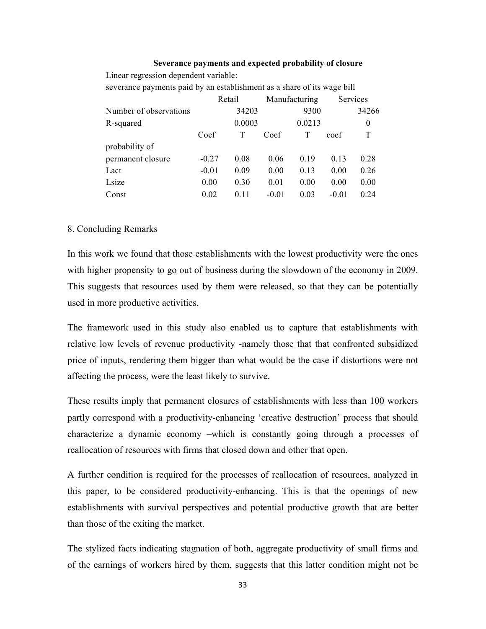#### **Severance payments and expected probability of closure**

Linear regression dependent variable:

severance payments paid by an establishment as a share of its wage bill

| Retail  |      | Manufacturing |                 | Services |                  |
|---------|------|---------------|-----------------|----------|------------------|
|         |      |               | 9300            |          | 34266            |
|         |      |               | 0.0213          |          | $\boldsymbol{0}$ |
| Coef    | T    | Coef          | T               | coef     | T                |
|         |      |               |                 |          |                  |
| $-0.27$ | 0.08 | 0.06          | 0.19            | 0.13     | 0.28             |
| $-0.01$ | 0.09 | 0.00          | 0.13            | 0.00     | 0.26             |
| 0.00    | 0.30 | 0.01          | 0.00            | 0.00     | 0.00             |
| 0.02    | 0.11 | $-0.01$       | 0.03            | $-0.01$  | 0.24             |
|         |      |               | 34203<br>0.0003 |          |                  |

## 8. Concluding Remarks

In this work we found that those establishments with the lowest productivity were the ones with higher propensity to go out of business during the slowdown of the economy in 2009. This suggests that resources used by them were released, so that they can be potentially used in more productive activities.

The framework used in this study also enabled us to capture that establishments with relative low levels of revenue productivity -namely those that that confronted subsidized price of inputs, rendering them bigger than what would be the case if distortions were not affecting the process, were the least likely to survive.

These results imply that permanent closures of establishments with less than 100 workers partly correspond with a productivity-enhancing 'creative destruction' process that should characterize a dynamic economy –which is constantly going through a processes of reallocation of resources with firms that closed down and other that open.

A further condition is required for the processes of reallocation of resources, analyzed in this paper, to be considered productivity-enhancing. This is that the openings of new establishments with survival perspectives and potential productive growth that are better than those of the exiting the market.

The stylized facts indicating stagnation of both, aggregate productivity of small firms and of the earnings of workers hired by them, suggests that this latter condition might not be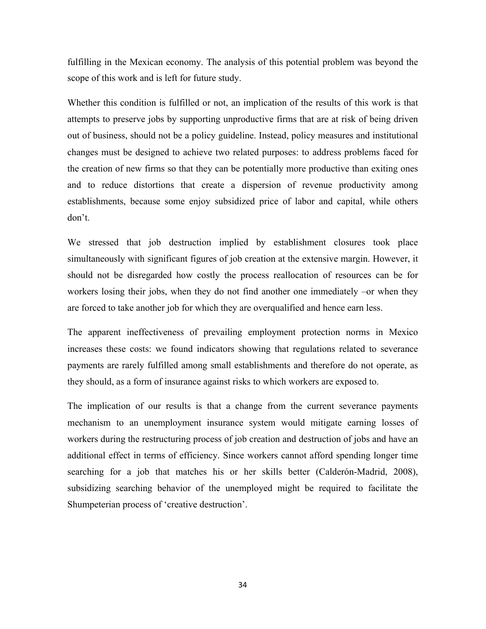fulfilling in the Mexican economy. The analysis of this potential problem was beyond the scope of this work and is left for future study.

Whether this condition is fulfilled or not, an implication of the results of this work is that attempts to preserve jobs by supporting unproductive firms that are at risk of being driven out of business, should not be a policy guideline. Instead, policy measures and institutional changes must be designed to achieve two related purposes: to address problems faced for the creation of new firms so that they can be potentially more productive than exiting ones and to reduce distortions that create a dispersion of revenue productivity among establishments, because some enjoy subsidized price of labor and capital, while others don't.

We stressed that job destruction implied by establishment closures took place simultaneously with significant figures of job creation at the extensive margin. However, it should not be disregarded how costly the process reallocation of resources can be for workers losing their jobs, when they do not find another one immediately –or when they are forced to take another job for which they are overqualified and hence earn less.

The apparent ineffectiveness of prevailing employment protection norms in Mexico increases these costs: we found indicators showing that regulations related to severance payments are rarely fulfilled among small establishments and therefore do not operate, as they should, as a form of insurance against risks to which workers are exposed to.

The implication of our results is that a change from the current severance payments mechanism to an unemployment insurance system would mitigate earning losses of workers during the restructuring process of job creation and destruction of jobs and have an additional effect in terms of efficiency. Since workers cannot afford spending longer time searching for a job that matches his or her skills better (Calderón-Madrid, 2008), subsidizing searching behavior of the unemployed might be required to facilitate the Shumpeterian process of 'creative destruction'.